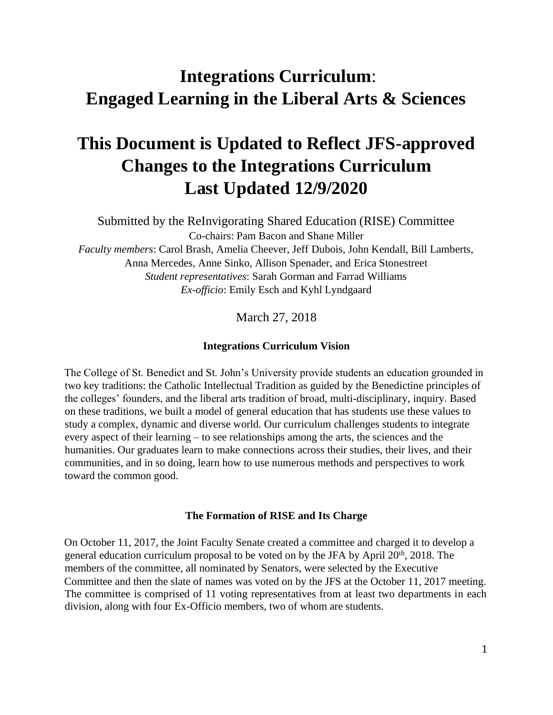# **Integrations Curriculum**: **Engaged Learning in the Liberal Arts & Sciences**

# **This Document is Updated to Reflect JFS-approved Changes to the Integrations Curriculum Last Updated 12/9/2020**

Submitted by the ReInvigorating Shared Education (RISE) Committee

Co-chairs: Pam Bacon and Shane Miller

*Faculty members*: Carol Brash, Amelia Cheever, Jeff Dubois, John Kendall, Bill Lamberts, Anna Mercedes, Anne Sinko, Allison Spenader, and Erica Stonestreet *Student representatives*: Sarah Gorman and Farrad Williams *Ex-officio*: Emily Esch and Kyhl Lyndgaard

March 27, 2018

#### **Integrations Curriculum Vision**

The College of St. Benedict and St. John's University provide students an education grounded in two key traditions: the Catholic Intellectual Tradition as guided by the Benedictine principles of the colleges' founders, and the liberal arts tradition of broad, multi-disciplinary, inquiry. Based on these traditions, we built a model of general education that has students use these values to study a complex, dynamic and diverse world. Our curriculum challenges students to integrate every aspect of their learning – to see relationships among the arts, the sciences and the humanities. Our graduates learn to make connections across their studies, their lives, and their communities, and in so doing, learn how to use numerous methods and perspectives to work toward the common good.

#### **The Formation of RISE and Its Charge**

On October 11, 2017, the Joint Faculty Senate created a committee and charged it to develop a general education curriculum proposal to be voted on by the JFA by April 20<sup>th</sup>, 2018. The members of the committee, all nominated by Senators, were selected by the Executive Committee and then the slate of names was voted on by the JFS at the October 11, 2017 meeting. The committee is comprised of 11 voting representatives from at least two departments in each division, along with four Ex-Officio members, two of whom are students.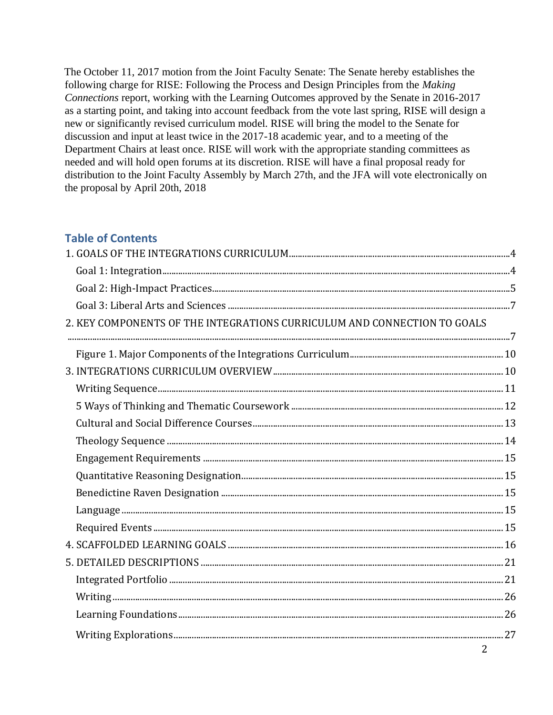The October 11, 2017 motion from the Joint Faculty Senate: The Senate hereby establishes the following charge for RISE: Following the Process and Design Principles from the *Making Connections* report, working with the Learning Outcomes approved by the Senate in 2016-2017 as a starting point, and taking into account feedback from the vote last spring, RISE will design a new or significantly revised curriculum model. RISE will bring the model to the Senate for discussion and input at least twice in the 2017-18 academic year, and to a meeting of the Department Chairs at least once. RISE will work with the appropriate standing committees as needed and will hold open forums at its discretion. RISE will have a final proposal ready for distribution to the Joint Faculty Assembly by March 27th, and the JFA will vote electronically on the proposal by April 20th, 2018

## **Table of Contents**

| 2. KEY COMPONENTS OF THE INTEGRATIONS CURRICULUM AND CONNECTION TO GOALS |                                |
|--------------------------------------------------------------------------|--------------------------------|
|                                                                          |                                |
|                                                                          |                                |
|                                                                          |                                |
|                                                                          |                                |
|                                                                          |                                |
|                                                                          |                                |
|                                                                          |                                |
|                                                                          |                                |
|                                                                          |                                |
|                                                                          |                                |
|                                                                          |                                |
|                                                                          |                                |
|                                                                          |                                |
|                                                                          |                                |
|                                                                          |                                |
|                                                                          |                                |
|                                                                          |                                |
|                                                                          |                                |
|                                                                          | $2 \left( \frac{1}{2} \right)$ |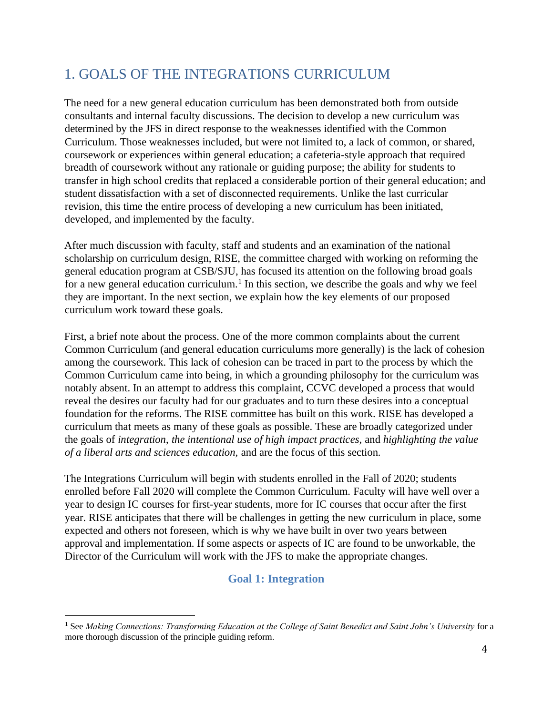## <span id="page-3-0"></span>1. GOALS OF THE INTEGRATIONS CURRICULUM

The need for a new general education curriculum has been demonstrated both from outside consultants and internal faculty discussions. The decision to develop a new curriculum was determined by the JFS in direct response to the weaknesses identified with the Common Curriculum. Those weaknesses included, but were not limited to, a lack of common, or shared, coursework or experiences within general education; a cafeteria-style approach that required breadth of coursework without any rationale or guiding purpose; the ability for students to transfer in high school credits that replaced a considerable portion of their general education; and student dissatisfaction with a set of disconnected requirements. Unlike the last curricular revision, this time the entire process of developing a new curriculum has been initiated, developed, and implemented by the faculty.

After much discussion with faculty, staff and students and an examination of the national scholarship on curriculum design, RISE, the committee charged with working on reforming the general education program at CSB/SJU, has focused its attention on the following broad goals for a new general education curriculum.<sup>1</sup> In this section, we describe the goals and why we feel they are important. In the next section, we explain how the key elements of our proposed curriculum work toward these goals.

First, a brief note about the process. One of the more common complaints about the current Common Curriculum (and general education curriculums more generally) is the lack of cohesion among the coursework. This lack of cohesion can be traced in part to the process by which the Common Curriculum came into being, in which a grounding philosophy for the curriculum was notably absent. In an attempt to address this complaint, CCVC developed a process that would reveal the desires our faculty had for our graduates and to turn these desires into a conceptual foundation for the reforms. The RISE committee has built on this work. RISE has developed a curriculum that meets as many of these goals as possible. These are broadly categorized under the goals of *integration*, *the intentional use of high impact practices,* and *highlighting the value of a liberal arts and sciences education,* and are the focus of this section*.* 

The Integrations Curriculum will begin with students enrolled in the Fall of 2020; students enrolled before Fall 2020 will complete the Common Curriculum. Faculty will have well over a year to design IC courses for first-year students, more for IC courses that occur after the first year. RISE anticipates that there will be challenges in getting the new curriculum in place, some expected and others not foreseen, which is why we have built in over two years between approval and implementation. If some aspects or aspects of IC are found to be unworkable, the Director of the Curriculum will work with the JFS to make the appropriate changes.

## **Goal 1: Integration**

<span id="page-3-1"></span><sup>&</sup>lt;sup>1</sup> See *Making Connections: Transforming Education at the College of Saint Benedict and Saint John's University for a* more thorough discussion of the principle guiding reform.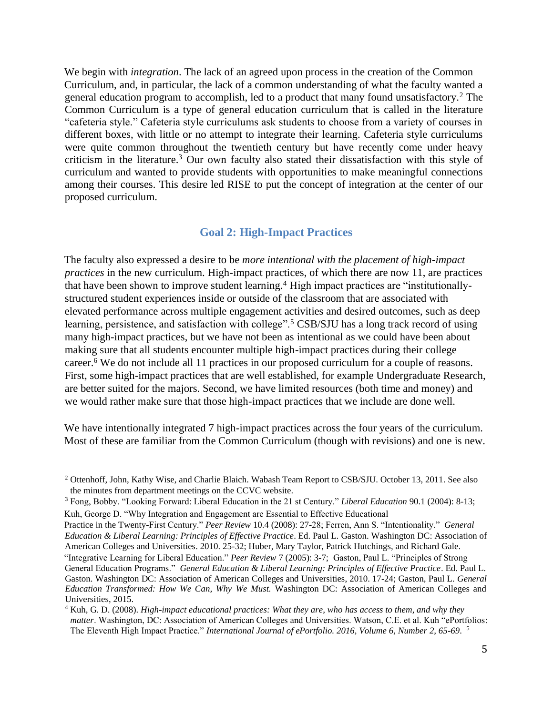We begin with *integration*. The lack of an agreed upon process in the creation of the Common Curriculum, and, in particular, the lack of a common understanding of what the faculty wanted a general education program to accomplish, led to a product that many found unsatisfactory.<sup>2</sup> The Common Curriculum is a type of general education curriculum that is called in the literature "cafeteria style." Cafeteria style curriculums ask students to choose from a variety of courses in different boxes, with little or no attempt to integrate their learning. Cafeteria style curriculums were quite common throughout the twentieth century but have recently come under heavy criticism in the literature.<sup>3</sup> Our own faculty also stated their dissatisfaction with this style of curriculum and wanted to provide students with opportunities to make meaningful connections among their courses. This desire led RISE to put the concept of integration at the center of our proposed curriculum.

#### **Goal 2: High-Impact Practices**

<span id="page-4-0"></span>The faculty also expressed a desire to be *more intentional with the placement of high-impact practices* in the new curriculum. High-impact practices, of which there are now 11, are practices that have been shown to improve student learning.<sup>4</sup> High impact practices are "institutionallystructured student experiences inside or outside of the classroom that are associated with elevated performance across multiple engagement activities and desired outcomes, such as deep learning, persistence, and satisfaction with college".<sup>5</sup> CSB/SJU has a long track record of using many high-impact practices, but we have not been as intentional as we could have been about making sure that all students encounter multiple high-impact practices during their college career.<sup>6</sup> We do not include all 11 practices in our proposed curriculum for a couple of reasons. First, some high-impact practices that are well established, for example Undergraduate Research, are better suited for the majors. Second, we have limited resources (both time and money) and we would rather make sure that those high-impact practices that we include are done well.

We have intentionally integrated 7 high-impact practices across the four years of the curriculum. Most of these are familiar from the Common Curriculum (though with revisions) and one is new.

<sup>2</sup> Ottenhoff, John, Kathy Wise, and Charlie Blaich. Wabash Team Report to CSB/SJU. October 13, 2011. See also the minutes from department meetings on the CCVC website.

<sup>3</sup> Fong, Bobby. "Looking Forward: Liberal Education in the 21 st Century." *Liberal Education* 90.1 (2004): 8-13; Kuh, George D. "Why Integration and Engagement are Essential to Effective Educational

Practice in the Twenty-First Century." *Peer Review* 10.4 (2008): 27-28; Ferren, Ann S. "Intentionality." *General Education & Liberal Learning: Principles of Effective Practice*. Ed. Paul L. Gaston. Washington DC: Association of American Colleges and Universities. 2010. 25-32; Huber, Mary Taylor, Patrick Hutchings, and Richard Gale. "Integrative Learning for Liberal Education." *Peer Review* 7 (2005): 3-7; Gaston, Paul L. "Principles of Strong General Education Programs." *General Education & Liberal Learning: Principles of Effective Practice*. Ed. Paul L. Gaston. Washington DC: Association of American Colleges and Universities, 2010. 17-24; Gaston, Paul L. *General Education Transformed: How We Can, Why We Must.* Washington DC: Association of American Colleges and Universities, 2015.

<sup>4</sup> Kuh, G. D. (2008). *High-impact educational practices: What they are, who has access to them, and why they matter*. Washington, DC: Association of American Colleges and Universities. Watson, C.E. et al. Kuh "ePortfolios: The Eleventh High Impact Practice." *International Journal of ePortfolio. 2016, Volume 6, Number 2, 65-69*. 5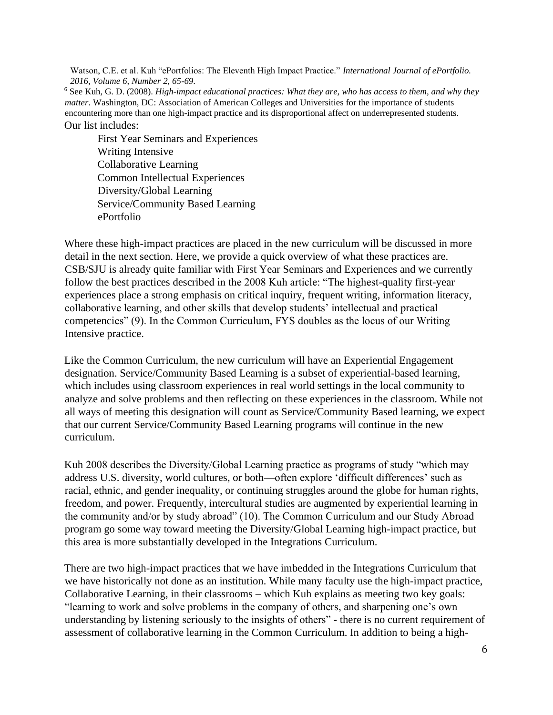Watson, C.E. et al. Kuh "ePortfolios: The Eleventh High Impact Practice." *International Journal of ePortfolio. 2016, Volume 6, Number 2, 65-69*.

<sup>6</sup> See Kuh, G. D. (2008). *High-impact educational practices: What they are, who has access to them, and why they matter*. Washington, DC: Association of American Colleges and Universities for the importance of students encountering more than one high-impact practice and its disproportional affect on underrepresented students.

Our list includes:

First Year Seminars and Experiences Writing Intensive Collaborative Learning Common Intellectual Experiences Diversity/Global Learning Service/Community Based Learning ePortfolio

Where these high-impact practices are placed in the new curriculum will be discussed in more detail in the next section. Here, we provide a quick overview of what these practices are. CSB/SJU is already quite familiar with First Year Seminars and Experiences and we currently follow the best practices described in the 2008 Kuh article: "The highest-quality first-year experiences place a strong emphasis on critical inquiry, frequent writing, information literacy, collaborative learning, and other skills that develop students' intellectual and practical competencies" (9). In the Common Curriculum, FYS doubles as the locus of our Writing Intensive practice.

Like the Common Curriculum, the new curriculum will have an Experiential Engagement designation. Service/Community Based Learning is a subset of experiential-based learning, which includes using classroom experiences in real world settings in the local community to analyze and solve problems and then reflecting on these experiences in the classroom. While not all ways of meeting this designation will count as Service/Community Based learning, we expect that our current Service/Community Based Learning programs will continue in the new curriculum.

Kuh 2008 describes the Diversity/Global Learning practice as programs of study "which may address U.S. diversity, world cultures, or both—often explore 'difficult differences' such as racial, ethnic, and gender inequality, or continuing struggles around the globe for human rights, freedom, and power. Frequently, intercultural studies are augmented by experiential learning in the community and/or by study abroad" (10). The Common Curriculum and our Study Abroad program go some way toward meeting the Diversity/Global Learning high-impact practice, but this area is more substantially developed in the Integrations Curriculum.

There are two high-impact practices that we have imbedded in the Integrations Curriculum that we have historically not done as an institution. While many faculty use the high-impact practice, Collaborative Learning, in their classrooms – which Kuh explains as meeting two key goals: "learning to work and solve problems in the company of others, and sharpening one's own understanding by listening seriously to the insights of others" - there is no current requirement of assessment of collaborative learning in the Common Curriculum. In addition to being a high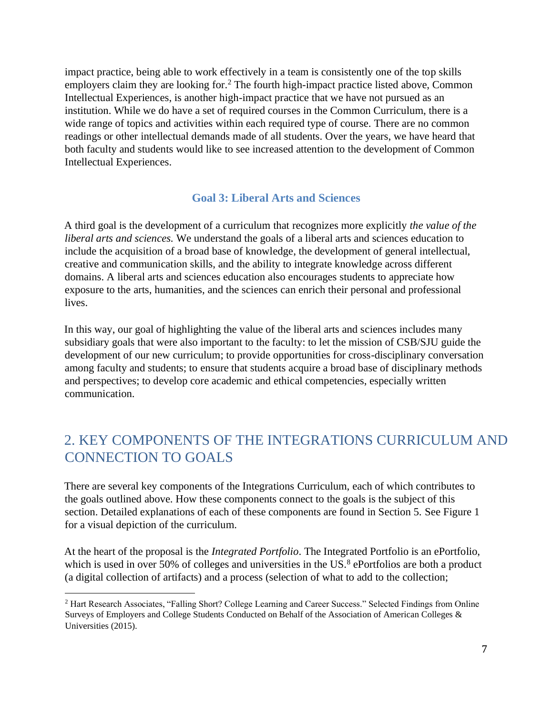impact practice, being able to work effectively in a team is consistently one of the top skills employers claim they are looking for.<sup>2</sup> The fourth high-impact practice listed above, Common Intellectual Experiences, is another high-impact practice that we have not pursued as an institution. While we do have a set of required courses in the Common Curriculum, there is a wide range of topics and activities within each required type of course. There are no common readings or other intellectual demands made of all students. Over the years, we have heard that both faculty and students would like to see increased attention to the development of Common Intellectual Experiences.

## **Goal 3: Liberal Arts and Sciences**

<span id="page-6-0"></span>A third goal is the development of a curriculum that recognizes more explicitly *the value of the liberal arts and sciences.* We understand the goals of a liberal arts and sciences education to include the acquisition of a broad base of knowledge, the development of general intellectual, creative and communication skills, and the ability to integrate knowledge across different domains. A liberal arts and sciences education also encourages students to appreciate how exposure to the arts, humanities, and the sciences can enrich their personal and professional lives.

In this way, our goal of highlighting the value of the liberal arts and sciences includes many subsidiary goals that were also important to the faculty: to let the mission of CSB/SJU guide the development of our new curriculum; to provide opportunities for cross-disciplinary conversation among faculty and students; to ensure that students acquire a broad base of disciplinary methods and perspectives; to develop core academic and ethical competencies, especially written communication.

## <span id="page-6-1"></span>2. KEY COMPONENTS OF THE INTEGRATIONS CURRICULUM AND CONNECTION TO GOALS

There are several key components of the Integrations Curriculum, each of which contributes to the goals outlined above. How these components connect to the goals is the subject of this section. Detailed explanations of each of these components are found in Section 5. See Figure 1 for a visual depiction of the curriculum.

At the heart of the proposal is the *Integrated Portfolio*. The Integrated Portfolio is an ePortfolio, which is used in over 50% of colleges and universities in the US. $8$  ePortfolios are both a product (a digital collection of artifacts) and a process (selection of what to add to the collection;

<sup>2</sup> Hart Research Associates, "Falling Short? College Learning and Career Success." Selected Findings from Online Surveys of Employers and College Students Conducted on Behalf of the Association of American Colleges & Universities (2015).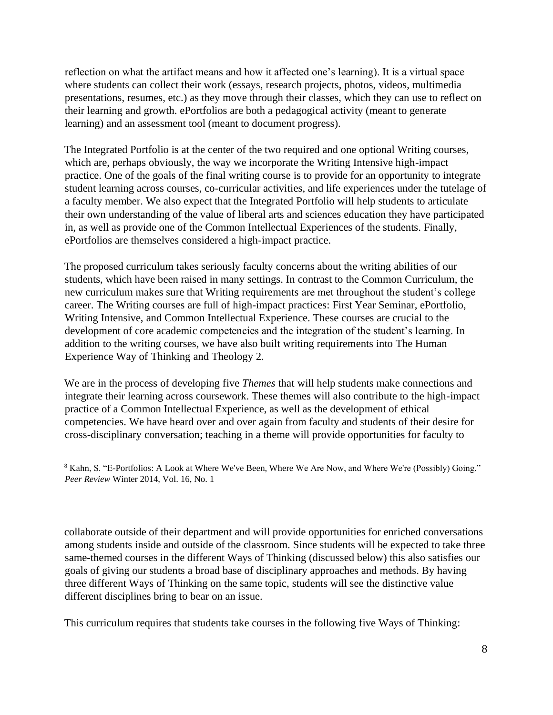reflection on what the artifact means and how it affected one's learning). It is a virtual space where students can collect their work (essays, research projects, photos, videos, multimedia presentations, resumes, etc.) as they move through their classes, which they can use to reflect on their learning and growth. ePortfolios are both a pedagogical activity (meant to generate learning) and an assessment tool (meant to document progress).

The Integrated Portfolio is at the center of the two required and one optional Writing courses, which are, perhaps obviously, the way we incorporate the Writing Intensive high-impact practice. One of the goals of the final writing course is to provide for an opportunity to integrate student learning across courses, co-curricular activities, and life experiences under the tutelage of a faculty member. We also expect that the Integrated Portfolio will help students to articulate their own understanding of the value of liberal arts and sciences education they have participated in, as well as provide one of the Common Intellectual Experiences of the students. Finally, ePortfolios are themselves considered a high-impact practice.

The proposed curriculum takes seriously faculty concerns about the writing abilities of our students, which have been raised in many settings. In contrast to the Common Curriculum, the new curriculum makes sure that Writing requirements are met throughout the student's college career. The Writing courses are full of high-impact practices: First Year Seminar, ePortfolio, Writing Intensive, and Common Intellectual Experience. These courses are crucial to the development of core academic competencies and the integration of the student's learning. In addition to the writing courses, we have also built writing requirements into The Human Experience Way of Thinking and Theology 2.

We are in the process of developing five *Themes* that will help students make connections and integrate their learning across coursework. These themes will also contribute to the high-impact practice of a Common Intellectual Experience, as well as the development of ethical competencies. We have heard over and over again from faculty and students of their desire for cross-disciplinary conversation; teaching in a theme will provide opportunities for faculty to

<sup>8</sup> Kahn, S. "E-Portfolios: A Look at Where We've Been, Where We Are Now, and Where We're (Possibly) Going." *Peer Review* Winter 2014, Vol. 16, No. 1

collaborate outside of their department and will provide opportunities for enriched conversations among students inside and outside of the classroom. Since students will be expected to take three same-themed courses in the different Ways of Thinking (discussed below) this also satisfies our goals of giving our students a broad base of disciplinary approaches and methods. By having three different Ways of Thinking on the same topic, students will see the distinctive value different disciplines bring to bear on an issue.

This curriculum requires that students take courses in the following five Ways of Thinking: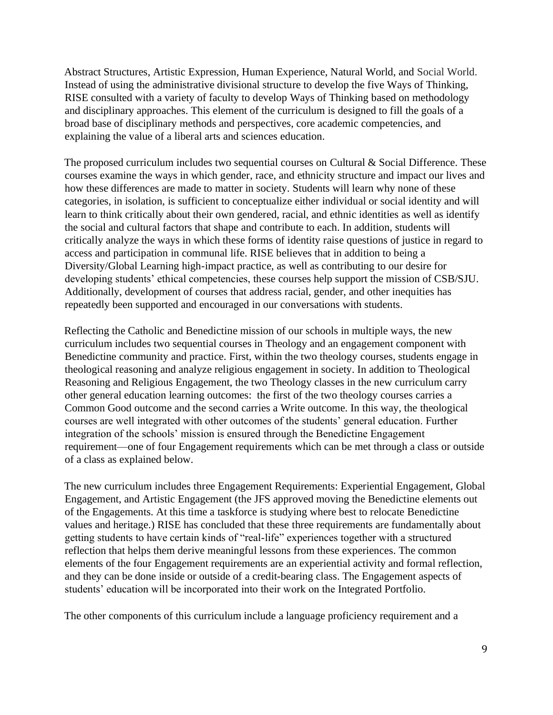Abstract Structures, Artistic Expression, Human Experience, Natural World, and Social World. Instead of using the administrative divisional structure to develop the five Ways of Thinking, RISE consulted with a variety of faculty to develop Ways of Thinking based on methodology and disciplinary approaches. This element of the curriculum is designed to fill the goals of a broad base of disciplinary methods and perspectives, core academic competencies, and explaining the value of a liberal arts and sciences education.

The proposed curriculum includes two sequential courses on Cultural  $\&$  Social Difference. These courses examine the ways in which gender, race, and ethnicity structure and impact our lives and how these differences are made to matter in society. Students will learn why none of these categories, in isolation, is sufficient to conceptualize either individual or social identity and will learn to think critically about their own gendered, racial, and ethnic identities as well as identify the social and cultural factors that shape and contribute to each. In addition, students will critically analyze the ways in which these forms of identity raise questions of justice in regard to access and participation in communal life. RISE believes that in addition to being a Diversity/Global Learning high-impact practice, as well as contributing to our desire for developing students' ethical competencies, these courses help support the mission of CSB/SJU. Additionally, development of courses that address racial, gender, and other inequities has repeatedly been supported and encouraged in our conversations with students.

Reflecting the Catholic and Benedictine mission of our schools in multiple ways, the new curriculum includes two sequential courses in Theology and an engagement component with Benedictine community and practice. First, within the two theology courses, students engage in theological reasoning and analyze religious engagement in society. In addition to Theological Reasoning and Religious Engagement, the two Theology classes in the new curriculum carry other general education learning outcomes: the first of the two theology courses carries a Common Good outcome and the second carries a Write outcome. In this way, the theological courses are well integrated with other outcomes of the students' general education. Further integration of the schools' mission is ensured through the Benedictine Engagement requirement—one of four Engagement requirements which can be met through a class or outside of a class as explained below.

The new curriculum includes three Engagement Requirements: Experiential Engagement, Global Engagement, and Artistic Engagement (the JFS approved moving the Benedictine elements out of the Engagements. At this time a taskforce is studying where best to relocate Benedictine values and heritage.) RISE has concluded that these three requirements are fundamentally about getting students to have certain kinds of "real-life" experiences together with a structured reflection that helps them derive meaningful lessons from these experiences. The common elements of the four Engagement requirements are an experiential activity and formal reflection, and they can be done inside or outside of a credit-bearing class. The Engagement aspects of students' education will be incorporated into their work on the Integrated Portfolio.

The other components of this curriculum include a language proficiency requirement and a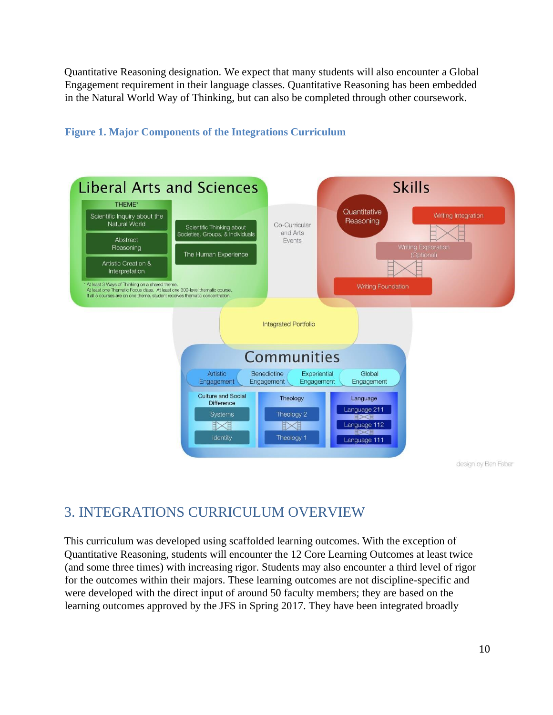Quantitative Reasoning designation. We expect that many students will also encounter a Global Engagement requirement in their language classes. Quantitative Reasoning has been embedded in the Natural World Way of Thinking, but can also be completed through other coursework.



## <span id="page-9-0"></span>**Figure 1. Major Components of the Integrations Curriculum**

design by Ben Faber

## <span id="page-9-1"></span>3. INTEGRATIONS CURRICULUM OVERVIEW

This curriculum was developed using scaffolded learning outcomes. With the exception of Quantitative Reasoning, students will encounter the 12 Core Learning Outcomes at least twice (and some three times) with increasing rigor. Students may also encounter a third level of rigor for the outcomes within their majors. These learning outcomes are not discipline-specific and were developed with the direct input of around 50 faculty members; they are based on the learning outcomes approved by the JFS in Spring 2017. They have been integrated broadly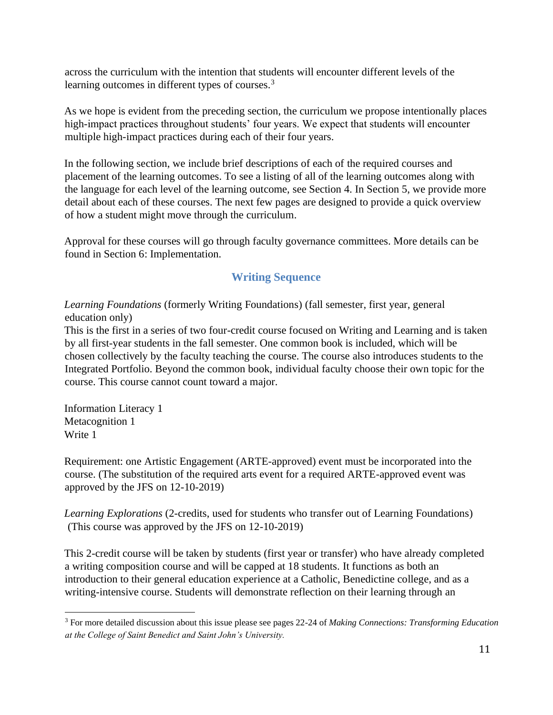across the curriculum with the intention that students will encounter different levels of the learning outcomes in different types of courses.<sup>3</sup>

As we hope is evident from the preceding section, the curriculum we propose intentionally places high-impact practices throughout students' four years. We expect that students will encounter multiple high-impact practices during each of their four years.

In the following section, we include brief descriptions of each of the required courses and placement of the learning outcomes. To see a listing of all of the learning outcomes along with the language for each level of the learning outcome, see Section 4. In Section 5, we provide more detail about each of these courses. The next few pages are designed to provide a quick overview of how a student might move through the curriculum.

Approval for these courses will go through faculty governance committees. More details can be found in Section 6: Implementation.

## **Writing Sequence**

<span id="page-10-0"></span>*Learning Foundations* (formerly Writing Foundations) (fall semester, first year, general education only)

This is the first in a series of two four-credit course focused on Writing and Learning and is taken by all first-year students in the fall semester. One common book is included, which will be chosen collectively by the faculty teaching the course. The course also introduces students to the Integrated Portfolio. Beyond the common book, individual faculty choose their own topic for the course. This course cannot count toward a major.

Information Literacy 1 Metacognition 1 Write 1

Requirement: one Artistic Engagement (ARTE-approved) event must be incorporated into the course. (The substitution of the required arts event for a required ARTE-approved event was approved by the JFS on 12-10-2019)

*Learning Explorations* (2-credits, used for students who transfer out of Learning Foundations) (This course was approved by the JFS on 12-10-2019)

This 2-credit course will be taken by students (first year or transfer) who have already completed a writing composition course and will be capped at 18 students. It functions as both an introduction to their general education experience at a Catholic, Benedictine college, and as a writing-intensive course. Students will demonstrate reflection on their learning through an

<sup>3</sup> For more detailed discussion about this issue please see pages 22-24 of *Making Connections: Transforming Education at the College of Saint Benedict and Saint John's University.*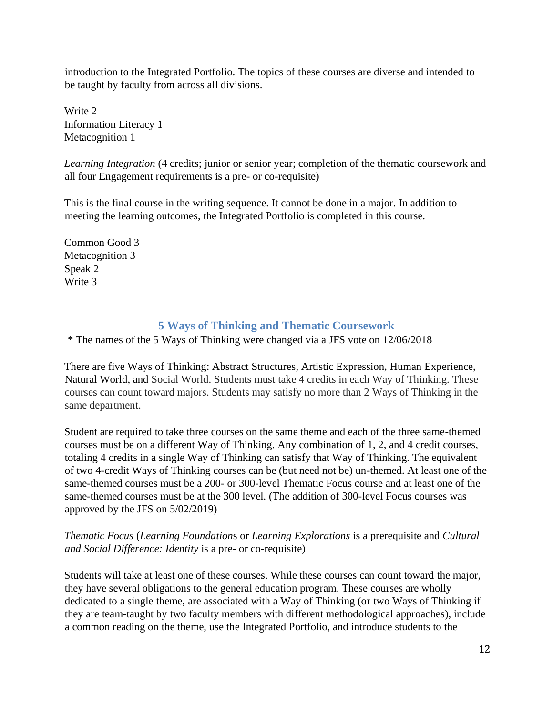introduction to the Integrated Portfolio. The topics of these courses are diverse and intended to be taught by faculty from across all divisions.

Write 2 Information Literacy 1 Metacognition 1

*Learning Integration* (4 credits; junior or senior year; completion of the thematic coursework and all four Engagement requirements is a pre- or co-requisite)

This is the final course in the writing sequence. It cannot be done in a major. In addition to meeting the learning outcomes, the Integrated Portfolio is completed in this course.

Common Good 3 Metacognition 3 Speak 2 Write 3

## **5 Ways of Thinking and Thematic Coursework**

<span id="page-11-0"></span>\* The names of the 5 Ways of Thinking were changed via a JFS vote on 12/06/2018

There are five Ways of Thinking: Abstract Structures, Artistic Expression, Human Experience, Natural World, and Social World. Students must take 4 credits in each Way of Thinking. These courses can count toward majors. Students may satisfy no more than 2 Ways of Thinking in the same department.

Student are required to take three courses on the same theme and each of the three same-themed courses must be on a different Way of Thinking. Any combination of 1, 2, and 4 credit courses, totaling 4 credits in a single Way of Thinking can satisfy that Way of Thinking. The equivalent of two 4-credit Ways of Thinking courses can be (but need not be) un-themed. At least one of the same-themed courses must be a 200- or 300-level Thematic Focus course and at least one of the same-themed courses must be at the 300 level. (The addition of 300-level Focus courses was approved by the JFS on 5/02/2019)

*Thematic Focus* (*Learning Foundation*s or *Learning Explorations* is a prerequisite and *Cultural and Social Difference: Identity* is a pre- or co-requisite)

Students will take at least one of these courses. While these courses can count toward the major, they have several obligations to the general education program. These courses are wholly dedicated to a single theme, are associated with a Way of Thinking (or two Ways of Thinking if they are team-taught by two faculty members with different methodological approaches), include a common reading on the theme, use the Integrated Portfolio, and introduce students to the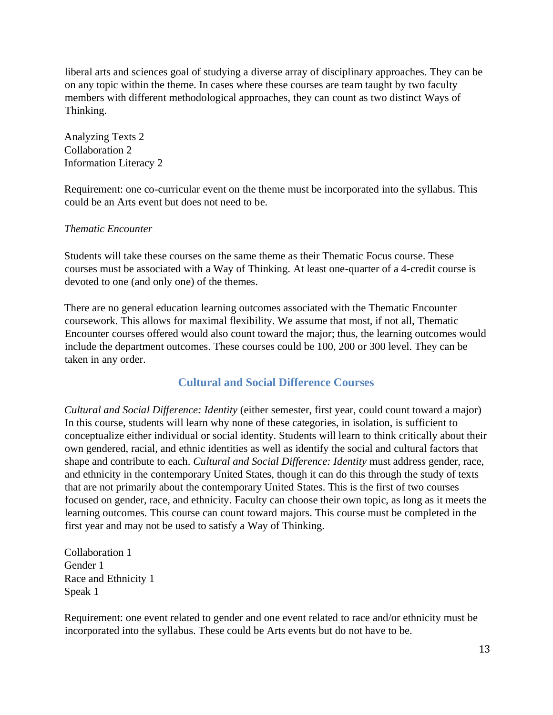liberal arts and sciences goal of studying a diverse array of disciplinary approaches. They can be on any topic within the theme. In cases where these courses are team taught by two faculty members with different methodological approaches, they can count as two distinct Ways of Thinking.

Analyzing Texts 2 Collaboration 2 Information Literacy 2

Requirement: one co-curricular event on the theme must be incorporated into the syllabus. This could be an Arts event but does not need to be.

#### *Thematic Encounter*

Students will take these courses on the same theme as their Thematic Focus course. These courses must be associated with a Way of Thinking. At least one-quarter of a 4-credit course is devoted to one (and only one) of the themes.

There are no general education learning outcomes associated with the Thematic Encounter coursework. This allows for maximal flexibility. We assume that most, if not all, Thematic Encounter courses offered would also count toward the major; thus, the learning outcomes would include the department outcomes. These courses could be 100, 200 or 300 level. They can be taken in any order.

## **Cultural and Social Difference Courses**

<span id="page-12-0"></span>*Cultural and Social Difference: Identity* (either semester, first year, could count toward a major) In this course, students will learn why none of these categories, in isolation, is sufficient to conceptualize either individual or social identity. Students will learn to think critically about their own gendered, racial, and ethnic identities as well as identify the social and cultural factors that shape and contribute to each. *Cultural and Social Difference: Identity* must address gender, race, and ethnicity in the contemporary United States, though it can do this through the study of texts that are not primarily about the contemporary United States. This is the first of two courses focused on gender, race, and ethnicity. Faculty can choose their own topic, as long as it meets the learning outcomes. This course can count toward majors. This course must be completed in the first year and may not be used to satisfy a Way of Thinking.

Collaboration 1 Gender 1 Race and Ethnicity 1 Speak 1

Requirement: one event related to gender and one event related to race and/or ethnicity must be incorporated into the syllabus. These could be Arts events but do not have to be.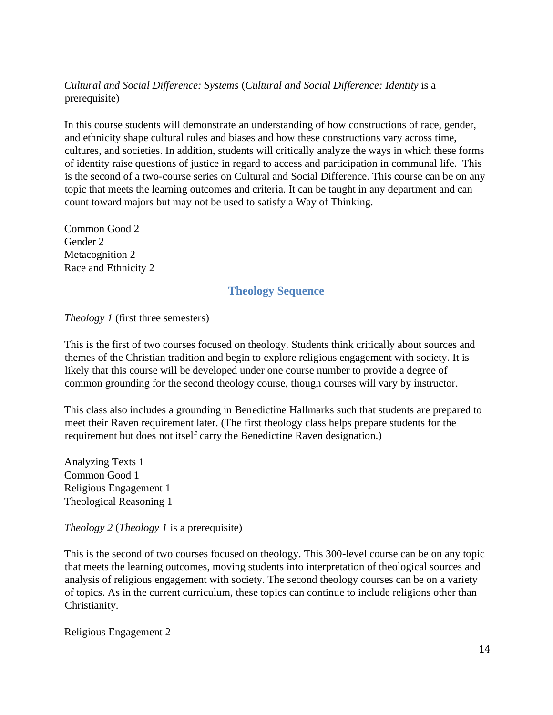## *Cultural and Social Difference: Systems* (*Cultural and Social Difference: Identity* is a prerequisite)

In this course students will demonstrate an understanding of how constructions of race, gender, and ethnicity shape cultural rules and biases and how these constructions vary across time, cultures, and societies. In addition, students will critically analyze the ways in which these forms of identity raise questions of justice in regard to access and participation in communal life. This is the second of a two-course series on Cultural and Social Difference. This course can be on any topic that meets the learning outcomes and criteria. It can be taught in any department and can count toward majors but may not be used to satisfy a Way of Thinking.

Common Good 2 Gender 2 Metacognition 2 Race and Ethnicity 2

## **Theology Sequence**

<span id="page-13-0"></span>*Theology 1* (first three semesters)

This is the first of two courses focused on theology. Students think critically about sources and themes of the Christian tradition and begin to explore religious engagement with society. It is likely that this course will be developed under one course number to provide a degree of common grounding for the second theology course, though courses will vary by instructor.

This class also includes a grounding in Benedictine Hallmarks such that students are prepared to meet their Raven requirement later. (The first theology class helps prepare students for the requirement but does not itself carry the Benedictine Raven designation.)

Analyzing Texts 1 Common Good 1 Religious Engagement 1 Theological Reasoning 1

*Theology 2* (*Theology 1* is a prerequisite)

This is the second of two courses focused on theology. This 300-level course can be on any topic that meets the learning outcomes, moving students into interpretation of theological sources and analysis of religious engagement with society. The second theology courses can be on a variety of topics. As in the current curriculum, these topics can continue to include religions other than Christianity.

Religious Engagement 2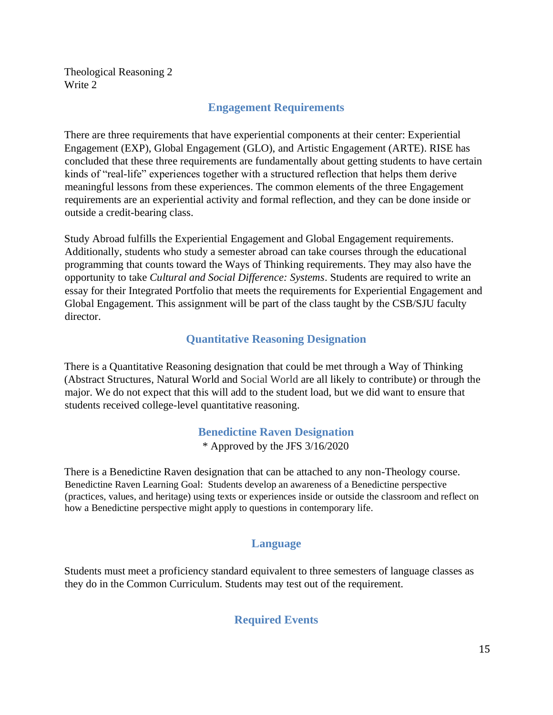Theological Reasoning 2 Write 2

## **Engagement Requirements**

<span id="page-14-0"></span>There are three requirements that have experiential components at their center: Experiential Engagement (EXP), Global Engagement (GLO), and Artistic Engagement (ARTE). RISE has concluded that these three requirements are fundamentally about getting students to have certain kinds of "real-life" experiences together with a structured reflection that helps them derive meaningful lessons from these experiences. The common elements of the three Engagement requirements are an experiential activity and formal reflection, and they can be done inside or outside a credit-bearing class.

Study Abroad fulfills the Experiential Engagement and Global Engagement requirements. Additionally, students who study a semester abroad can take courses through the educational programming that counts toward the Ways of Thinking requirements. They may also have the opportunity to take *Cultural and Social Difference: Systems*. Students are required to write an essay for their Integrated Portfolio that meets the requirements for Experiential Engagement and Global Engagement. This assignment will be part of the class taught by the CSB/SJU faculty director.

## **Quantitative Reasoning Designation**

<span id="page-14-1"></span>There is a Quantitative Reasoning designation that could be met through a Way of Thinking (Abstract Structures, Natural World and Social World are all likely to contribute) or through the major. We do not expect that this will add to the student load, but we did want to ensure that students received college-level quantitative reasoning.

## **Benedictine Raven Designation** \* Approved by the JFS 3/16/2020

<span id="page-14-2"></span>There is a Benedictine Raven designation that can be attached to any non-Theology course. Benedictine Raven Learning Goal: Students develop an awareness of a Benedictine perspective (practices, values, and heritage) using texts or experiences inside or outside the classroom and reflect on how a Benedictine perspective might apply to questions in contemporary life.

## **Language**

<span id="page-14-4"></span><span id="page-14-3"></span>Students must meet a proficiency standard equivalent to three semesters of language classes as they do in the Common Curriculum. Students may test out of the requirement.

## **Required Events**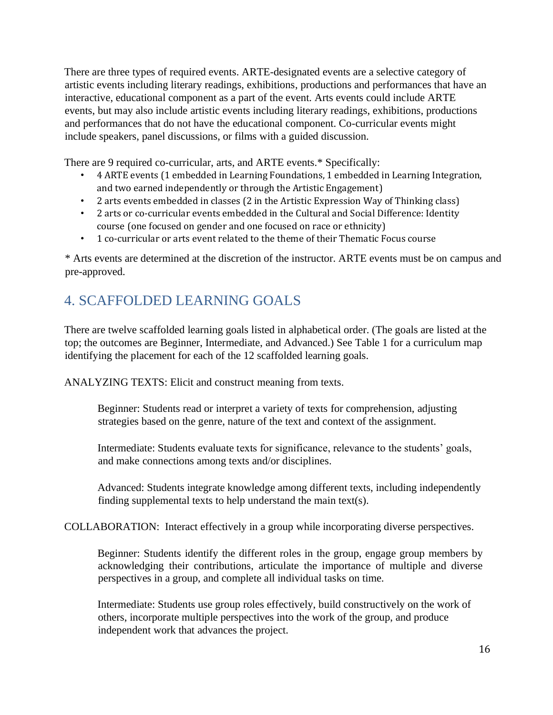There are three types of required events. ARTE-designated events are a selective category of artistic events including literary readings, exhibitions, productions and performances that have an interactive, educational component as a part of the event. Arts events could include ARTE events, but may also include artistic events including literary readings, exhibitions, productions and performances that do not have the educational component. Co-curricular events might include speakers, panel discussions, or films with a guided discussion.

There are 9 required co-curricular, arts, and ARTE events.\* Specifically:

- 4 ARTE events (1 embedded in Learning Foundations, 1 embedded in Learning Integration, and two earned independently or through the Artistic Engagement)
- 2 arts events embedded in classes (2 in the Artistic Expression Way of Thinking class)
- 2 arts or co-curricular events embedded in the Cultural and Social Difference: Identity course (one focused on gender and one focused on race or ethnicity)
- 1 co-curricular or arts event related to the theme of their Thematic Focus course

\* Arts events are determined at the discretion of the instructor. ARTE events must be on campus and pre-approved.

## <span id="page-15-0"></span>4. SCAFFOLDED LEARNING GOALS

There are twelve scaffolded learning goals listed in alphabetical order. (The goals are listed at the top; the outcomes are Beginner, Intermediate, and Advanced.) See Table 1 for a curriculum map identifying the placement for each of the 12 scaffolded learning goals.

ANALYZING TEXTS: Elicit and construct meaning from texts.

Beginner: Students read or interpret a variety of texts for comprehension, adjusting strategies based on the genre, nature of the text and context of the assignment.

Intermediate: Students evaluate texts for significance, relevance to the students' goals, and make connections among texts and/or disciplines.

Advanced: Students integrate knowledge among different texts, including independently finding supplemental texts to help understand the main text(s).

COLLABORATION: Interact effectively in a group while incorporating diverse perspectives.

Beginner: Students identify the different roles in the group, engage group members by acknowledging their contributions, articulate the importance of multiple and diverse perspectives in a group, and complete all individual tasks on time.

Intermediate: Students use group roles effectively, build constructively on the work of others, incorporate multiple perspectives into the work of the group, and produce independent work that advances the project.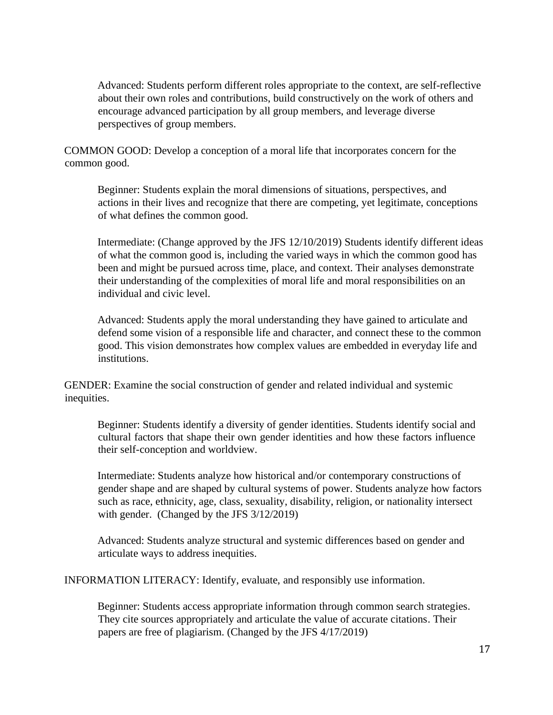Advanced: Students perform different roles appropriate to the context, are self-reflective about their own roles and contributions, build constructively on the work of others and encourage advanced participation by all group members, and leverage diverse perspectives of group members.

COMMON GOOD: Develop a conception of a moral life that incorporates concern for the common good.

Beginner: Students explain the moral dimensions of situations, perspectives, and actions in their lives and recognize that there are competing, yet legitimate, conceptions of what defines the common good.

Intermediate: (Change approved by the JFS 12/10/2019) Students identify different ideas of what the common good is, including the varied ways in which the common good has been and might be pursued across time, place, and context. Their analyses demonstrate their understanding of the complexities of moral life and moral responsibilities on an individual and civic level.

Advanced: Students apply the moral understanding they have gained to articulate and defend some vision of a responsible life and character, and connect these to the common good. This vision demonstrates how complex values are embedded in everyday life and institutions.

GENDER: Examine the social construction of gender and related individual and systemic inequities.

Beginner: Students identify a diversity of gender identities. Students identify social and cultural factors that shape their own gender identities and how these factors influence their self-conception and worldview.

Intermediate: Students analyze how historical and/or contemporary constructions of gender shape and are shaped by cultural systems of power. Students analyze how factors such as race, ethnicity, age, class, sexuality, disability, religion, or nationality intersect with gender. (Changed by the JFS 3/12/2019)

Advanced: Students analyze structural and systemic differences based on gender and articulate ways to address inequities.

INFORMATION LITERACY: Identify, evaluate, and responsibly use information.

Beginner: Students access appropriate information through common search strategies. They cite sources appropriately and articulate the value of accurate citations. Their papers are free of plagiarism. (Changed by the JFS 4/17/2019)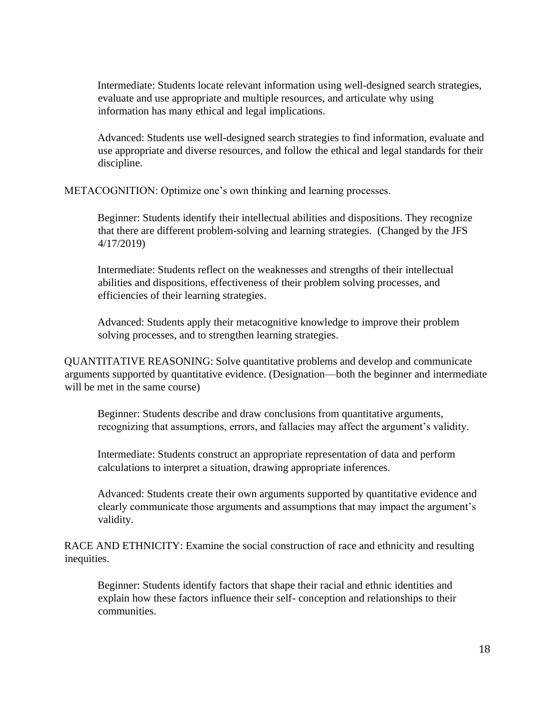Intermediate: Students locate relevant information using well-designed search strategies, evaluate and use appropriate and multiple resources, and articulate why using information has many ethical and legal implications.

Advanced: Students use well-designed search strategies to find information, evaluate and use appropriate and diverse resources, and follow the ethical and legal standards for their discipline.

METACOGNITION: Optimize one's own thinking and learning processes.

Beginner: Students identify their intellectual abilities and dispositions. They recognize that there are different problem-solving and learning strategies. (Changed by the JFS 4/17/2019)

Intermediate: Students reflect on the weaknesses and strengths of their intellectual abilities and dispositions, effectiveness of their problem solving processes, and efficiencies of their learning strategies.

Advanced: Students apply their metacognitive knowledge to improve their problem solving processes, and to strengthen learning strategies.

QUANTITATIVE REASONING: Solve quantitative problems and develop and communicate arguments supported by quantitative evidence. (Designation—both the beginner and intermediate will be met in the same course)

Beginner: Students describe and draw conclusions from quantitative arguments, recognizing that assumptions, errors, and fallacies may affect the argument's validity.

Intermediate: Students construct an appropriate representation of data and perform calculations to interpret a situation, drawing appropriate inferences.

Advanced: Students create their own arguments supported by quantitative evidence and clearly communicate those arguments and assumptions that may impact the argument's validity.

RACE AND ETHNICITY: Examine the social construction of race and ethnicity and resulting inequities.

Beginner: Students identify factors that shape their racial and ethnic identities and explain how these factors influence their self- conception and relationships to their communities.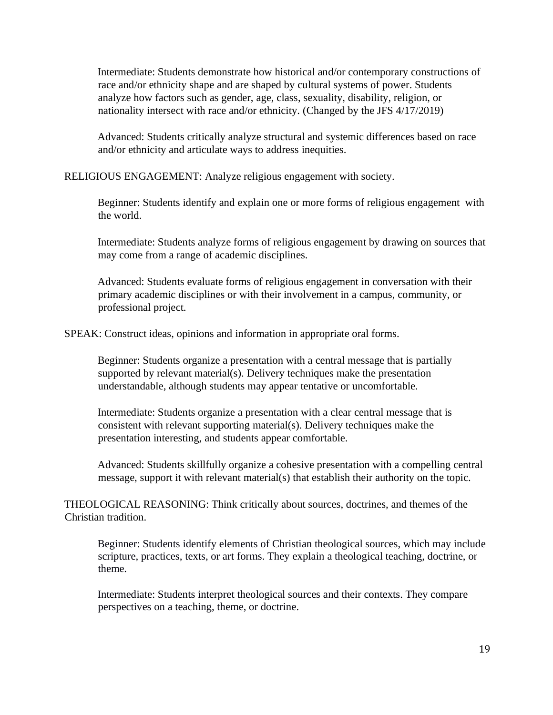Intermediate: Students demonstrate how historical and/or contemporary constructions of race and/or ethnicity shape and are shaped by cultural systems of power. Students analyze how factors such as gender, age, class, sexuality, disability, religion, or nationality intersect with race and/or ethnicity. (Changed by the JFS 4/17/2019)

Advanced: Students critically analyze structural and systemic differences based on race and/or ethnicity and articulate ways to address inequities.

RELIGIOUS ENGAGEMENT: Analyze religious engagement with society.

Beginner: Students identify and explain one or more forms of religious engagement with the world.

Intermediate: Students analyze forms of religious engagement by drawing on sources that may come from a range of academic disciplines.

Advanced: Students evaluate forms of religious engagement in conversation with their primary academic disciplines or with their involvement in a campus, community, or professional project.

SPEAK: Construct ideas, opinions and information in appropriate oral forms.

Beginner: Students organize a presentation with a central message that is partially supported by relevant material(s). Delivery techniques make the presentation understandable, although students may appear tentative or uncomfortable.

Intermediate: Students organize a presentation with a clear central message that is consistent with relevant supporting material(s). Delivery techniques make the presentation interesting, and students appear comfortable.

Advanced: Students skillfully organize a cohesive presentation with a compelling central message, support it with relevant material(s) that establish their authority on the topic.

THEOLOGICAL REASONING: Think critically about sources, doctrines, and themes of the Christian tradition.

Beginner: Students identify elements of Christian theological sources, which may include scripture, practices, texts, or art forms. They explain a theological teaching, doctrine, or theme.

Intermediate: Students interpret theological sources and their contexts. They compare perspectives on a teaching, theme, or doctrine.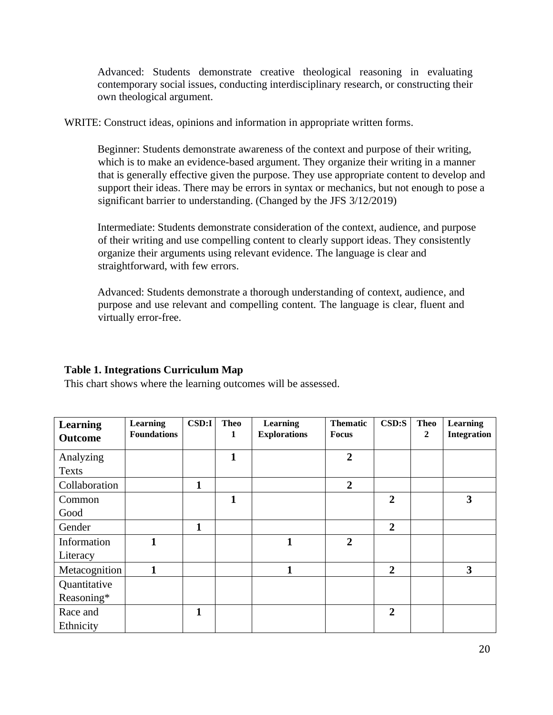Advanced: Students demonstrate creative theological reasoning in evaluating contemporary social issues, conducting interdisciplinary research, or constructing their own theological argument.

WRITE: Construct ideas, opinions and information in appropriate written forms.

Beginner: Students demonstrate awareness of the context and purpose of their writing, which is to make an evidence-based argument. They organize their writing in a manner that is generally effective given the purpose. They use appropriate content to develop and support their ideas. There may be errors in syntax or mechanics, but not enough to pose a significant barrier to understanding. (Changed by the JFS 3/12/2019)

Intermediate: Students demonstrate consideration of the context, audience, and purpose of their writing and use compelling content to clearly support ideas. They consistently organize their arguments using relevant evidence. The language is clear and straightforward, with few errors.

Advanced: Students demonstrate a thorough understanding of context, audience, and purpose and use relevant and compelling content. The language is clear, fluent and virtually error-free.

## **Table 1. Integrations Curriculum Map**

This chart shows where the learning outcomes will be assessed.

| <b>Learning</b><br><b>Outcome</b> | <b>Learning</b><br><b>Foundations</b> | CSD:I        | <b>Theo</b><br>1 | <b>Learning</b><br><b>Explorations</b> | <b>Thematic</b><br><b>Focus</b> | $CSD:$ S       | <b>Theo</b><br>$\overline{2}$ | <b>Learning</b><br><b>Integration</b> |
|-----------------------------------|---------------------------------------|--------------|------------------|----------------------------------------|---------------------------------|----------------|-------------------------------|---------------------------------------|
| Analyzing<br><b>Texts</b>         |                                       |              | $\mathbf{1}$     |                                        | $\overline{2}$                  |                |                               |                                       |
| Collaboration                     |                                       | $\mathbf{1}$ |                  |                                        | $\overline{2}$                  |                |                               |                                       |
| Common<br>Good                    |                                       |              | 1                |                                        |                                 | $\overline{2}$ |                               | 3                                     |
| Gender                            |                                       | 1            |                  |                                        |                                 | $\overline{2}$ |                               |                                       |
| Information<br>Literacy           | 1                                     |              |                  | $\mathbf{1}$                           | $\overline{2}$                  |                |                               |                                       |
| Metacognition                     | 1                                     |              |                  | 1                                      |                                 | $\overline{2}$ |                               | 3                                     |
| Quantitative<br>Reasoning*        |                                       |              |                  |                                        |                                 |                |                               |                                       |
| Race and<br>Ethnicity             |                                       | 1            |                  |                                        |                                 | $\overline{2}$ |                               |                                       |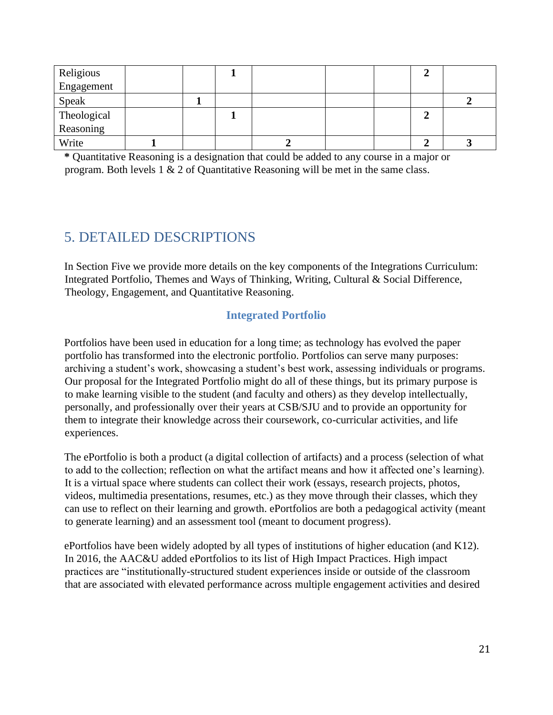| Religious   |  |  |  |  |
|-------------|--|--|--|--|
| Engagement  |  |  |  |  |
| Speak       |  |  |  |  |
| Theological |  |  |  |  |
| Reasoning   |  |  |  |  |
| Write       |  |  |  |  |

**\*** Quantitative Reasoning is a designation that could be added to any course in a major or program. Both levels 1 & 2 of Quantitative Reasoning will be met in the same class.

## <span id="page-20-0"></span>5. DETAILED DESCRIPTIONS

In Section Five we provide more details on the key components of the Integrations Curriculum: Integrated Portfolio, Themes and Ways of Thinking, Writing, Cultural & Social Difference, Theology, Engagement, and Quantitative Reasoning.

## **Integrated Portfolio**

<span id="page-20-1"></span>Portfolios have been used in education for a long time; as technology has evolved the paper portfolio has transformed into the electronic portfolio. Portfolios can serve many purposes: archiving a student's work, showcasing a student's best work, assessing individuals or programs. Our proposal for the Integrated Portfolio might do all of these things, but its primary purpose is to make learning visible to the student (and faculty and others) as they develop intellectually, personally, and professionally over their years at CSB/SJU and to provide an opportunity for them to integrate their knowledge across their coursework, co-curricular activities, and life experiences.

The ePortfolio is both a product (a digital collection of artifacts) and a process (selection of what to add to the collection; reflection on what the artifact means and how it affected one's learning). It is a virtual space where students can collect their work (essays, research projects, photos, videos, multimedia presentations, resumes, etc.) as they move through their classes, which they can use to reflect on their learning and growth. ePortfolios are both a pedagogical activity (meant to generate learning) and an assessment tool (meant to document progress).

ePortfolios have been widely adopted by all types of institutions of higher education (and K12). In 2016, the AAC&U added ePortfolios to its list of High Impact Practices. High impact practices are "institutionally-structured student experiences inside or outside of the classroom that are associated with elevated performance across multiple engagement activities and desired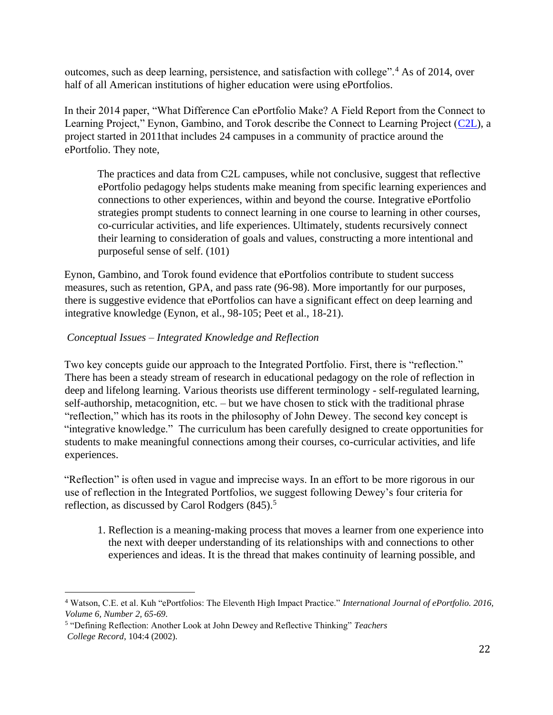outcomes, such as deep learning, persistence, and satisfaction with college".<sup>4</sup> As of 2014, over half of all American institutions of higher education were using ePortfolios.

In their 2014 paper, "What Difference Can ePortfolio Make? A Field Report from the Connect to Learning Project," Eynon, Gambino, and Torok describe the Connect to Learning Project (C2L), a project started in 2011that includes 24 campuses in a community of practice around the ePortfolio. They note,

The practices and data from C2L campuses, while not conclusive, suggest that reflective ePortfolio pedagogy helps students make meaning from specific learning experiences and connections to other experiences, within and beyond the course. Integrative ePortfolio strategies prompt students to connect learning in one course to learning in other courses, co-curricular activities, and life experiences. Ultimately, students recursively connect their learning to consideration of goals and values, constructing a more intentional and purposeful sense of self. (101)

Eynon, Gambino, and Torok found evidence that ePortfolios contribute to student success measures, such as retention, GPA, and pass rate (96-98). More importantly for our purposes, there is suggestive evidence that ePortfolios can have a significant effect on deep learning and integrative knowledge (Eynon, et al., 98-105; Peet et al., 18-21).

## *Conceptual Issues – Integrated Knowledge and Reflection*

Two key concepts guide our approach to the Integrated Portfolio. First, there is "reflection." There has been a steady stream of research in educational pedagogy on the role of reflection in deep and lifelong learning. Various theorists use different terminology - self-regulated learning, self-authorship, metacognition, etc. – but we have chosen to stick with the traditional phrase "reflection," which has its roots in the philosophy of John Dewey. The second key concept is "integrative knowledge." The curriculum has been carefully designed to create opportunities for students to make meaningful connections among their courses, co-curricular activities, and life experiences.

"Reflection" is often used in vague and imprecise ways. In an effort to be more rigorous in our use of reflection in the Integrated Portfolios, we suggest following Dewey's four criteria for reflection, as discussed by Carol Rodgers (845).<sup>5</sup>

1. Reflection is a meaning-making process that moves a learner from one experience into the next with deeper understanding of its relationships with and connections to other experiences and ideas. It is the thread that makes continuity of learning possible, and

<sup>4</sup> Watson, C.E. et al. Kuh "ePortfolios: The Eleventh High Impact Practice." *International Journal of ePortfolio. 2016, Volume 6, Number 2, 65-69*.

<sup>5</sup> "Defining Reflection: Another Look at John Dewey and Reflective Thinking" *Teachers* 

*College Record*, 104:4 (2002).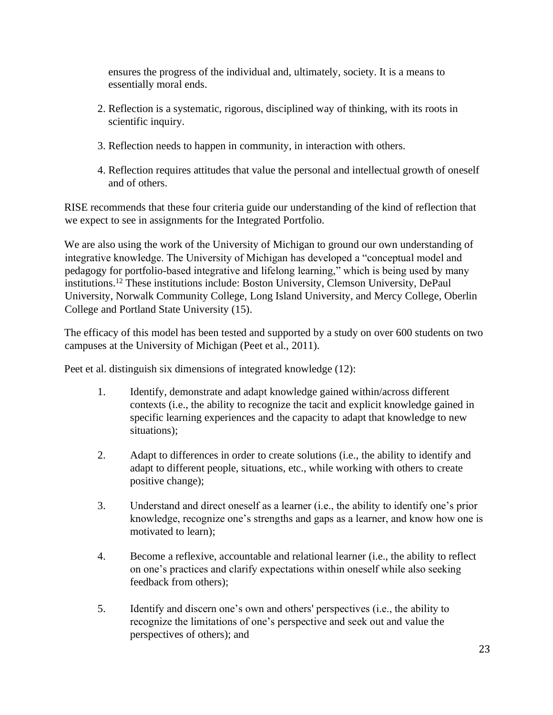ensures the progress of the individual and, ultimately, society. It is a means to essentially moral ends.

- 2. Reflection is a systematic, rigorous, disciplined way of thinking, with its roots in scientific inquiry.
- 3. Reflection needs to happen in community, in interaction with others.
- 4. Reflection requires attitudes that value the personal and intellectual growth of oneself and of others.

RISE recommends that these four criteria guide our understanding of the kind of reflection that we expect to see in assignments for the Integrated Portfolio.

We are also using the work of the University of Michigan to ground our own understanding of integrative knowledge. The University of Michigan has developed a "conceptual model and pedagogy for portfolio-based integrative and lifelong learning," which is being used by many institutions.<sup>12</sup> These institutions include: Boston University, Clemson University, DePaul University, Norwalk Community College, Long Island University, and Mercy College, Oberlin College and Portland State University (15).

The efficacy of this model has been tested and supported by a study on over 600 students on two campuses at the University of Michigan (Peet et al., 2011).

Peet et al. distinguish six dimensions of integrated knowledge (12):

- 1. Identify, demonstrate and adapt knowledge gained within/across different contexts (i.e., the ability to recognize the tacit and explicit knowledge gained in specific learning experiences and the capacity to adapt that knowledge to new situations);
- 2. Adapt to differences in order to create solutions (i.e., the ability to identify and adapt to different people, situations, etc., while working with others to create positive change);
- 3. Understand and direct oneself as a learner (i.e., the ability to identify one's prior knowledge, recognize one's strengths and gaps as a learner, and know how one is motivated to learn);
- 4. Become a reflexive, accountable and relational learner (i.e., the ability to reflect on one's practices and clarify expectations within oneself while also seeking feedback from others);
- 5. Identify and discern one's own and others' perspectives (i.e., the ability to recognize the limitations of one's perspective and seek out and value the perspectives of others); and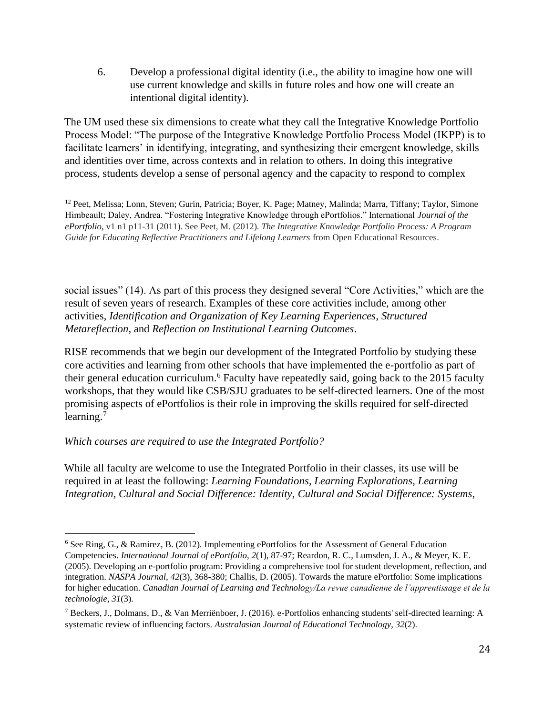6. Develop a professional digital identity (i.e., the ability to imagine how one will use current knowledge and skills in future roles and how one will create an intentional digital identity).

The UM used these six dimensions to create what they call the Integrative Knowledge Portfolio Process Model: "The purpose of the Integrative Knowledge Portfolio Process Model (IKPP) is to facilitate learners' in identifying, integrating, and synthesizing their emergent knowledge, skills and identities over time, across contexts and in relation to others. In doing this integrative process, students develop a sense of personal agency and the capacity to respond to complex

<sup>12</sup> Peet, Melissa; Lonn, Steven; Gurin, Patricia; Boyer, K. Page; Matney, Malinda; Marra, Tiffany; Taylor, Simone Himbeault; Daley, Andrea. "Fostering Integrative Knowledge through ePortfolios." International *Journal of the ePortfolio*, v1 n1 p11-31 (2011). See Peet, M. (2012). *The Integrative Knowledge Portfolio Process: A Program Guide for Educating Reflective Practitioners and Lifelong Learners* from Open Educational Resources.

social issues" (14). As part of this process they designed several "Core Activities," which are the result of seven years of research. Examples of these core activities include, among other activities, *Identification and Organization of Key Learning Experiences*, *Structured Metareflection*, and *Reflection on Institutional Learning Outcomes*.

RISE recommends that we begin our development of the Integrated Portfolio by studying these core activities and learning from other schools that have implemented the e-portfolio as part of their general education curriculum.<sup>6</sup> Faculty have repeatedly said, going back to the 2015 faculty workshops, that they would like CSB/SJU graduates to be self-directed learners. One of the most promising aspects of ePortfolios is their role in improving the skills required for self-directed learning.<sup>7</sup>

## *Which courses are required to use the Integrated Portfolio?*

While all faculty are welcome to use the Integrated Portfolio in their classes, its use will be required in at least the following: *Learning Foundations, Learning Explorations, Learning Integration, Cultural and Social Difference: Identity*, *Cultural and Social Difference: Systems*,

<sup>6</sup> See Ring, G., & Ramirez, B. (2012). Implementing ePortfolios for the Assessment of General Education Competencies. *International Journal of ePortfolio*, *2*(1), 87-97; Reardon, R. C., Lumsden, J. A., & Meyer, K. E. (2005). Developing an e-portfolio program: Providing a comprehensive tool for student development, reflection, and integration. *NASPA Journal*, *42*(3), 368-380; Challis, D. (2005). Towards the mature ePortfolio: Some implications for higher education. *Canadian Journal of Learning and Technology/La revue canadienne de l'apprentissage et de la technologie*, *31*(3).

<sup>7</sup> Beckers, J., Dolmans, D., & Van Merriënboer, J. (2016). e-Portfolios enhancing students' self-directed learning: A systematic review of influencing factors. *Australasian Journal of Educational Technology*, *32*(2).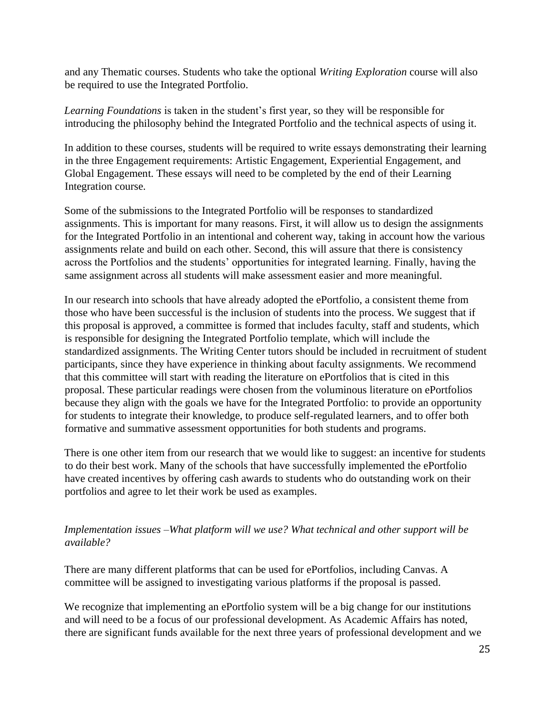and any Thematic courses. Students who take the optional *Writing Exploration* course will also be required to use the Integrated Portfolio.

*Learning Foundations* is taken in the student's first year, so they will be responsible for introducing the philosophy behind the Integrated Portfolio and the technical aspects of using it.

In addition to these courses, students will be required to write essays demonstrating their learning in the three Engagement requirements: Artistic Engagement, Experiential Engagement, and Global Engagement. These essays will need to be completed by the end of their Learning Integration course.

Some of the submissions to the Integrated Portfolio will be responses to standardized assignments. This is important for many reasons. First, it will allow us to design the assignments for the Integrated Portfolio in an intentional and coherent way, taking in account how the various assignments relate and build on each other. Second, this will assure that there is consistency across the Portfolios and the students' opportunities for integrated learning. Finally, having the same assignment across all students will make assessment easier and more meaningful.

In our research into schools that have already adopted the ePortfolio, a consistent theme from those who have been successful is the inclusion of students into the process. We suggest that if this proposal is approved, a committee is formed that includes faculty, staff and students, which is responsible for designing the Integrated Portfolio template, which will include the standardized assignments. The Writing Center tutors should be included in recruitment of student participants, since they have experience in thinking about faculty assignments. We recommend that this committee will start with reading the literature on ePortfolios that is cited in this proposal. These particular readings were chosen from the voluminous literature on ePortfolios because they align with the goals we have for the Integrated Portfolio: to provide an opportunity for students to integrate their knowledge, to produce self-regulated learners, and to offer both formative and summative assessment opportunities for both students and programs.

There is one other item from our research that we would like to suggest: an incentive for students to do their best work. Many of the schools that have successfully implemented the ePortfolio have created incentives by offering cash awards to students who do outstanding work on their portfolios and agree to let their work be used as examples.

## *Implementation issues –What platform will we use? What technical and other support will be available?*

There are many different platforms that can be used for ePortfolios, including Canvas. A committee will be assigned to investigating various platforms if the proposal is passed.

We recognize that implementing an ePortfolio system will be a big change for our institutions and will need to be a focus of our professional development. As Academic Affairs has noted, there are significant funds available for the next three years of professional development and we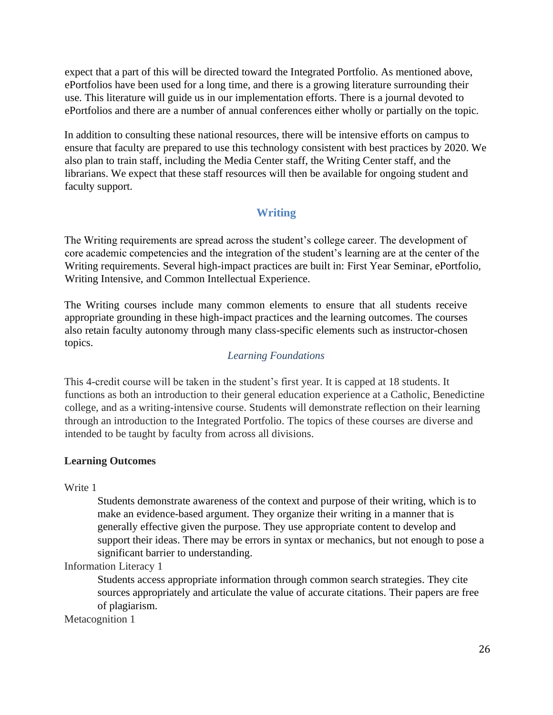expect that a part of this will be directed toward the Integrated Portfolio. As mentioned above, ePortfolios have been used for a long time, and there is a growing literature surrounding their use. This literature will guide us in our implementation efforts. There is a journal devoted to ePortfolios and there are a number of annual conferences either wholly or partially on the topic.

In addition to consulting these national resources, there will be intensive efforts on campus to ensure that faculty are prepared to use this technology consistent with best practices by 2020. We also plan to train staff, including the Media Center staff, the Writing Center staff, and the librarians. We expect that these staff resources will then be available for ongoing student and faculty support.

## **Writing**

<span id="page-25-0"></span>The Writing requirements are spread across the student's college career. The development of core academic competencies and the integration of the student's learning are at the center of the Writing requirements. Several high-impact practices are built in: First Year Seminar, ePortfolio, Writing Intensive, and Common Intellectual Experience.

The Writing courses include many common elements to ensure that all students receive appropriate grounding in these high-impact practices and the learning outcomes. The courses also retain faculty autonomy through many class-specific elements such as instructor-chosen topics.

#### *Learning Foundations*

<span id="page-25-1"></span>This 4-credit course will be taken in the student's first year. It is capped at 18 students. It functions as both an introduction to their general education experience at a Catholic, Benedictine college, and as a writing-intensive course. Students will demonstrate reflection on their learning through an introduction to the Integrated Portfolio. The topics of these courses are diverse and intended to be taught by faculty from across all divisions.

#### **Learning Outcomes**

Write 1

Students demonstrate awareness of the context and purpose of their writing, which is to make an evidence-based argument. They organize their writing in a manner that is generally effective given the purpose. They use appropriate content to develop and support their ideas. There may be errors in syntax or mechanics, but not enough to pose a significant barrier to understanding.

Information Literacy 1

Students access appropriate information through common search strategies. They cite sources appropriately and articulate the value of accurate citations. Their papers are free of plagiarism.

Metacognition 1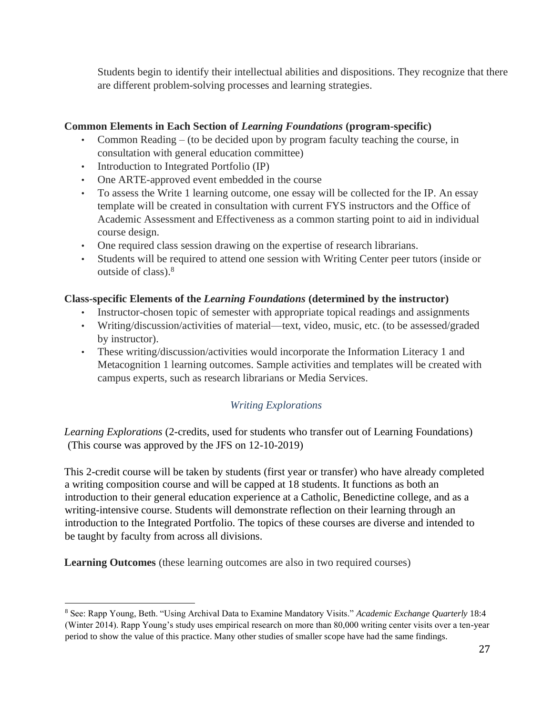Students begin to identify their intellectual abilities and dispositions. They recognize that there are different problem-solving processes and learning strategies.

## **Common Elements in Each Section of** *Learning Foundations* **(program-specific)**

- Common Reading (to be decided upon by program faculty teaching the course, in consultation with general education committee)
- Introduction to Integrated Portfolio (IP)
- One ARTE-approved event embedded in the course
- To assess the Write 1 learning outcome, one essay will be collected for the IP. An essay template will be created in consultation with current FYS instructors and the Office of Academic Assessment and Effectiveness as a common starting point to aid in individual course design.
- One required class session drawing on the expertise of research librarians.
- Students will be required to attend one session with Writing Center peer tutors (inside or outside of class).<sup>8</sup>

## **Class-specific Elements of the** *Learning Foundations* **(determined by the instructor)**

- Instructor-chosen topic of semester with appropriate topical readings and assignments
- Writing/discussion/activities of material—text, video, music, etc. (to be assessed/graded by instructor).
- These writing/discussion/activities would incorporate the Information Literacy 1 and Metacognition 1 learning outcomes. Sample activities and templates will be created with campus experts, such as research librarians or Media Services.

## *Writing Explorations*

<span id="page-26-0"></span>*Learning Explorations* (2-credits, used for students who transfer out of Learning Foundations) (This course was approved by the JFS on 12-10-2019)

This 2-credit course will be taken by students (first year or transfer) who have already completed a writing composition course and will be capped at 18 students. It functions as both an introduction to their general education experience at a Catholic, Benedictine college, and as a writing-intensive course. Students will demonstrate reflection on their learning through an introduction to the Integrated Portfolio. The topics of these courses are diverse and intended to be taught by faculty from across all divisions.

**Learning Outcomes** (these learning outcomes are also in two required courses)

<sup>8</sup> See: Rapp Young, Beth. "Using Archival Data to Examine Mandatory Visits." *Academic Exchange Quarterly* 18:4 (Winter 2014). Rapp Young's study uses empirical research on more than 80,000 writing center visits over a ten-year period to show the value of this practice. Many other studies of smaller scope have had the same findings.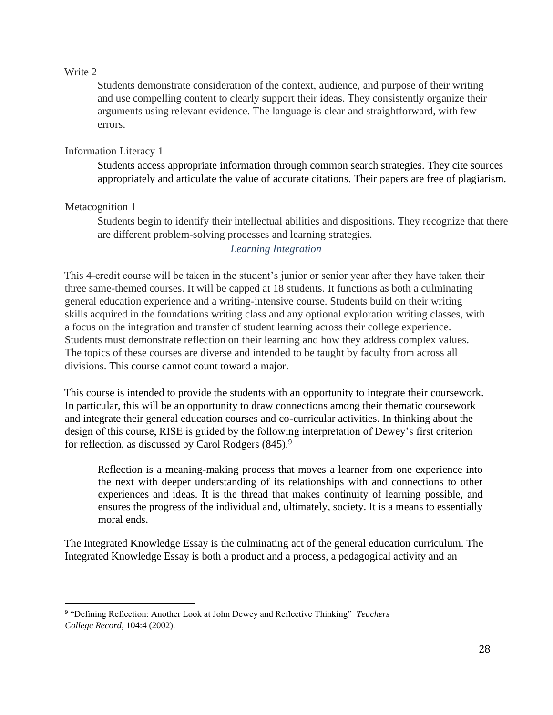#### Write 2

Students demonstrate consideration of the context, audience, and purpose of their writing and use compelling content to clearly support their ideas. They consistently organize their arguments using relevant evidence. The language is clear and straightforward, with few errors.

## Information Literacy 1

Students access appropriate information through common search strategies. They cite sources appropriately and articulate the value of accurate citations. Their papers are free of plagiarism.

## Metacognition 1

Students begin to identify their intellectual abilities and dispositions. They recognize that there are different problem-solving processes and learning strategies.

## *Learning Integration*

<span id="page-27-0"></span>This 4-credit course will be taken in the student's junior or senior year after they have taken their three same-themed courses. It will be capped at 18 students. It functions as both a culminating general education experience and a writing-intensive course. Students build on their writing skills acquired in the foundations writing class and any optional exploration writing classes, with a focus on the integration and transfer of student learning across their college experience. Students must demonstrate reflection on their learning and how they address complex values. The topics of these courses are diverse and intended to be taught by faculty from across all divisions. This course cannot count toward a major.

This course is intended to provide the students with an opportunity to integrate their coursework. In particular, this will be an opportunity to draw connections among their thematic coursework and integrate their general education courses and co-curricular activities. In thinking about the design of this course, RISE is guided by the following interpretation of Dewey's first criterion for reflection, as discussed by Carol Rodgers (845).<sup>9</sup>

Reflection is a meaning-making process that moves a learner from one experience into the next with deeper understanding of its relationships with and connections to other experiences and ideas. It is the thread that makes continuity of learning possible, and ensures the progress of the individual and, ultimately, society. It is a means to essentially moral ends.

The Integrated Knowledge Essay is the culminating act of the general education curriculum. The Integrated Knowledge Essay is both a product and a process, a pedagogical activity and an

<sup>&</sup>lt;sup>9</sup> "Defining Reflection: Another Look at John Dewey and Reflective Thinking" *Teachers College Record*, 104:4 (2002).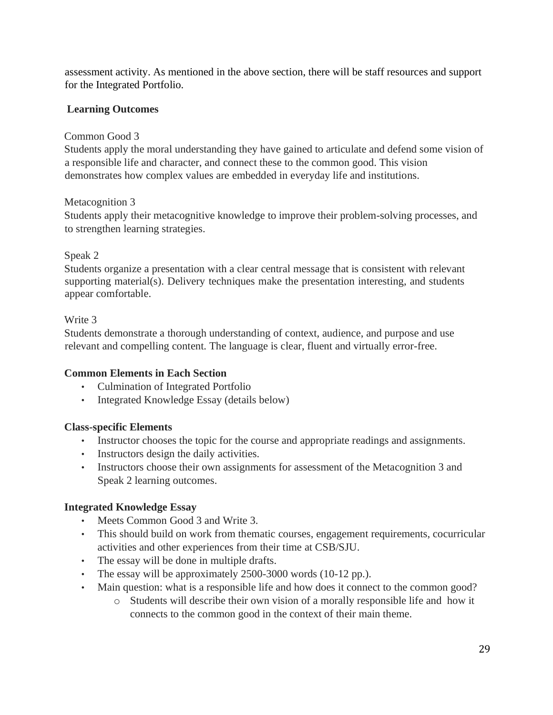assessment activity. As mentioned in the above section, there will be staff resources and support for the Integrated Portfolio.

## **Learning Outcomes**

#### Common Good 3

Students apply the moral understanding they have gained to articulate and defend some vision of a responsible life and character, and connect these to the common good. This vision demonstrates how complex values are embedded in everyday life and institutions.

#### Metacognition 3

Students apply their metacognitive knowledge to improve their problem-solving processes, and to strengthen learning strategies.

#### Speak 2

Students organize a presentation with a clear central message that is consistent with relevant supporting material(s). Delivery techniques make the presentation interesting, and students appear comfortable.

#### Write 3

Students demonstrate a thorough understanding of context, audience, and purpose and use relevant and compelling content. The language is clear, fluent and virtually error-free.

#### **Common Elements in Each Section**

- Culmination of Integrated Portfolio
- Integrated Knowledge Essay (details below)

## **Class-specific Elements**

- Instructor chooses the topic for the course and appropriate readings and assignments.
- Instructors design the daily activities.
- Instructors choose their own assignments for assessment of the Metacognition 3 and Speak 2 learning outcomes.

## **Integrated Knowledge Essay**

- Meets Common Good 3 and Write 3.
- This should build on work from thematic courses, engagement requirements, cocurricular activities and other experiences from their time at CSB/SJU.
- The essay will be done in multiple drafts.
- The essay will be approximately 2500-3000 words (10-12 pp.).
- Main question: what is a responsible life and how does it connect to the common good?
	- o Students will describe their own vision of a morally responsible life and how it connects to the common good in the context of their main theme.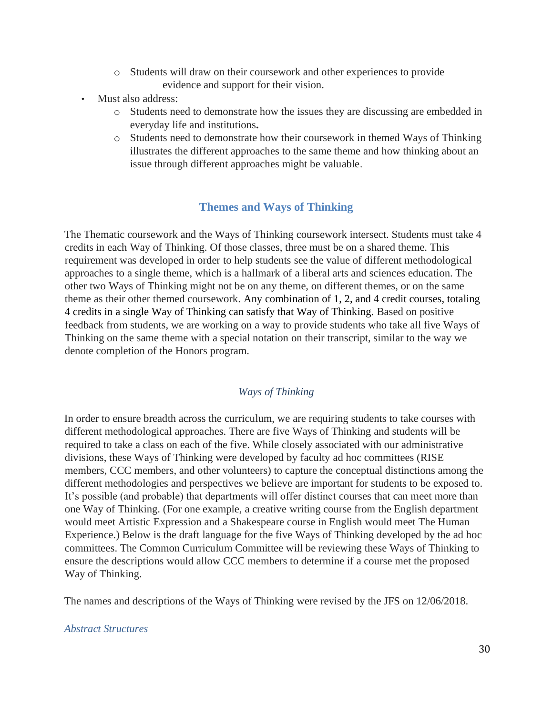- o Students will draw on their coursework and other experiences to provide evidence and support for their vision.
- Must also address:
	- o Students need to demonstrate how the issues they are discussing are embedded in everyday life and institutions**.**
	- o Students need to demonstrate how their coursework in themed Ways of Thinking illustrates the different approaches to the same theme and how thinking about an issue through different approaches might be valuable.

## **Themes and Ways of Thinking**

<span id="page-29-0"></span>The Thematic coursework and the Ways of Thinking coursework intersect. Students must take 4 credits in each Way of Thinking. Of those classes, three must be on a shared theme. This requirement was developed in order to help students see the value of different methodological approaches to a single theme, which is a hallmark of a liberal arts and sciences education. The other two Ways of Thinking might not be on any theme, on different themes, or on the same theme as their other themed coursework. Any combination of 1, 2, and 4 credit courses, totaling 4 credits in a single Way of Thinking can satisfy that Way of Thinking. Based on positive feedback from students, we are working on a way to provide students who take all five Ways of Thinking on the same theme with a special notation on their transcript, similar to the way we denote completion of the Honors program.

## *Ways of Thinking*

<span id="page-29-1"></span>In order to ensure breadth across the curriculum, we are requiring students to take courses with different methodological approaches. There are five Ways of Thinking and students will be required to take a class on each of the five. While closely associated with our administrative divisions, these Ways of Thinking were developed by faculty ad hoc committees (RISE members, CCC members, and other volunteers) to capture the conceptual distinctions among the different methodologies and perspectives we believe are important for students to be exposed to. It's possible (and probable) that departments will offer distinct courses that can meet more than one Way of Thinking. (For one example, a creative writing course from the English department would meet Artistic Expression and a Shakespeare course in English would meet The Human Experience.) Below is the draft language for the five Ways of Thinking developed by the ad hoc committees. The Common Curriculum Committee will be reviewing these Ways of Thinking to ensure the descriptions would allow CCC members to determine if a course met the proposed Way of Thinking.

The names and descriptions of the Ways of Thinking were revised by the JFS on 12/06/2018.

#### *Abstract Structures*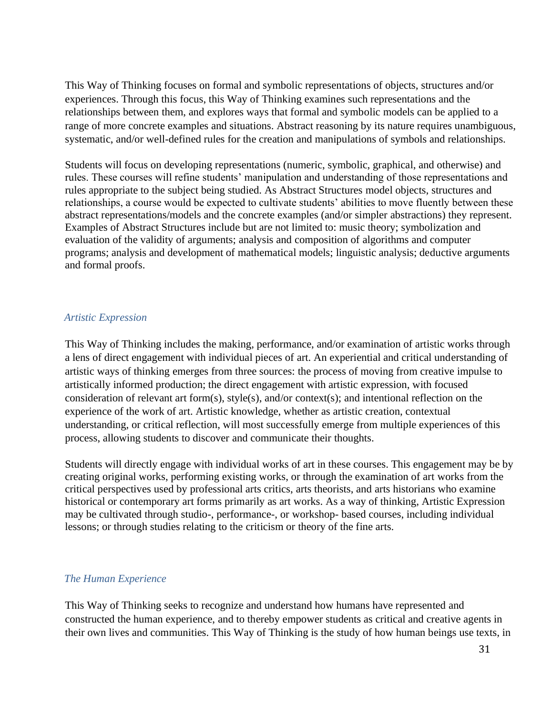This Way of Thinking focuses on formal and symbolic representations of objects, structures and/or experiences. Through this focus, this Way of Thinking examines such representations and the relationships between them, and explores ways that formal and symbolic models can be applied to a range of more concrete examples and situations. Abstract reasoning by its nature requires unambiguous, systematic, and/or well-defined rules for the creation and manipulations of symbols and relationships.

Students will focus on developing representations (numeric, symbolic, graphical, and otherwise) and rules. These courses will refine students' manipulation and understanding of those representations and rules appropriate to the subject being studied. As Abstract Structures model objects, structures and relationships, a course would be expected to cultivate students' abilities to move fluently between these abstract representations/models and the concrete examples (and/or simpler abstractions) they represent. Examples of Abstract Structures include but are not limited to: music theory; symbolization and evaluation of the validity of arguments; analysis and composition of algorithms and computer programs; analysis and development of mathematical models; linguistic analysis; deductive arguments and formal proofs.

#### *Artistic Expression*

This Way of Thinking includes the making, performance, and/or examination of artistic works through a lens of direct engagement with individual pieces of art. An experiential and critical understanding of artistic ways of thinking emerges from three sources: the process of moving from creative impulse to artistically informed production; the direct engagement with artistic expression, with focused consideration of relevant art form(s), style(s), and/or context(s); and intentional reflection on the experience of the work of art. Artistic knowledge, whether as artistic creation, contextual understanding, or critical reflection, will most successfully emerge from multiple experiences of this process, allowing students to discover and communicate their thoughts.

Students will directly engage with individual works of art in these courses. This engagement may be by creating original works, performing existing works, or through the examination of art works from the critical perspectives used by professional arts critics, arts theorists, and arts historians who examine historical or contemporary art forms primarily as art works. As a way of thinking, Artistic Expression may be cultivated through studio-, performance-, or workshop- based courses, including individual lessons; or through studies relating to the criticism or theory of the fine arts.

#### *The Human Experience*

This Way of Thinking seeks to recognize and understand how humans have represented and constructed the human experience, and to thereby empower students as critical and creative agents in their own lives and communities. This Way of Thinking is the study of how human beings use texts, in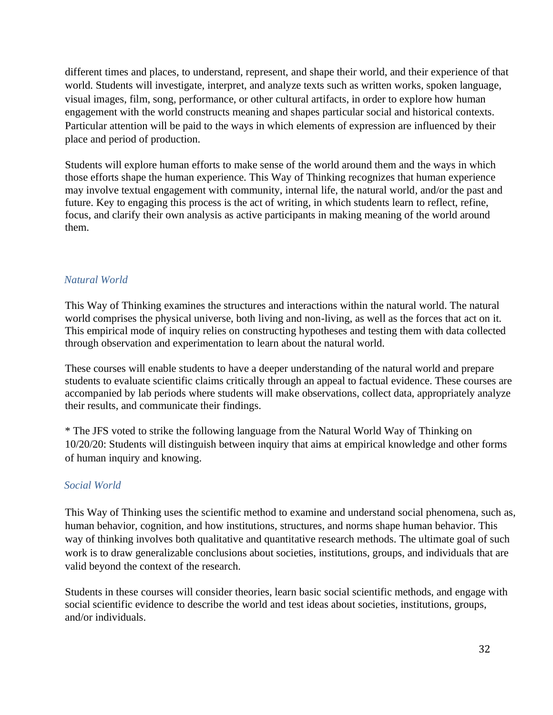different times and places, to understand, represent, and shape their world, and their experience of that world. Students will investigate, interpret, and analyze texts such as written works, spoken language, visual images, film, song, performance, or other cultural artifacts, in order to explore how human engagement with the world constructs meaning and shapes particular social and historical contexts. Particular attention will be paid to the ways in which elements of expression are influenced by their place and period of production.

Students will explore human efforts to make sense of the world around them and the ways in which those efforts shape the human experience. This Way of Thinking recognizes that human experience may involve textual engagement with community, internal life, the natural world, and/or the past and future. Key to engaging this process is the act of writing, in which students learn to reflect, refine, focus, and clarify their own analysis as active participants in making meaning of the world around them.

#### *Natural World*

This Way of Thinking examines the structures and interactions within the natural world. The natural world comprises the physical universe, both living and non-living, as well as the forces that act on it. This empirical mode of inquiry relies on constructing hypotheses and testing them with data collected through observation and experimentation to learn about the natural world.

These courses will enable students to have a deeper understanding of the natural world and prepare students to evaluate scientific claims critically through an appeal to factual evidence. These courses are accompanied by lab periods where students will make observations, collect data, appropriately analyze their results, and communicate their findings.

\* The JFS voted to strike the following language from the Natural World Way of Thinking on 10/20/20: Students will distinguish between inquiry that aims at empirical knowledge and other forms of human inquiry and knowing.

#### *Social World*

This Way of Thinking uses the scientific method to examine and understand social phenomena, such as, human behavior, cognition, and how institutions, structures, and norms shape human behavior. This way of thinking involves both qualitative and quantitative research methods. The ultimate goal of such work is to draw generalizable conclusions about societies, institutions, groups, and individuals that are valid beyond the context of the research.

Students in these courses will consider theories, learn basic social scientific methods, and engage with social scientific evidence to describe the world and test ideas about societies, institutions, groups, and/or individuals.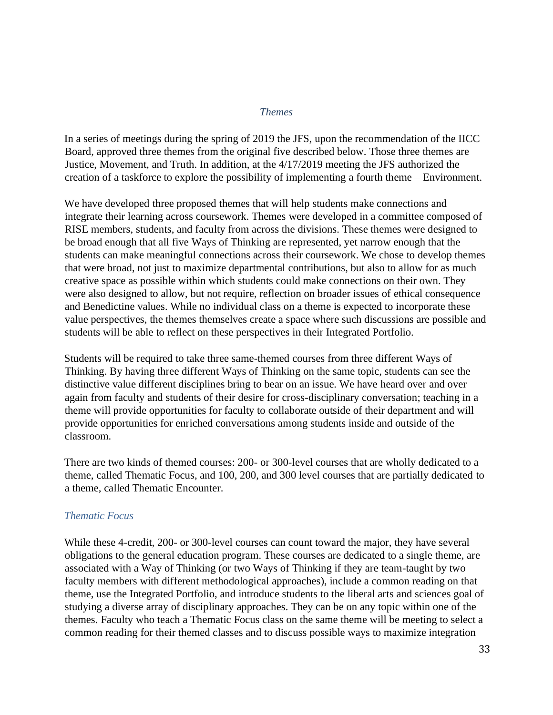#### *Themes*

<span id="page-32-0"></span>In a series of meetings during the spring of 2019 the JFS, upon the recommendation of the IICC Board, approved three themes from the original five described below. Those three themes are Justice, Movement, and Truth. In addition, at the 4/17/2019 meeting the JFS authorized the creation of a taskforce to explore the possibility of implementing a fourth theme – Environment.

We have developed three proposed themes that will help students make connections and integrate their learning across coursework. Themes were developed in a committee composed of RISE members, students, and faculty from across the divisions. These themes were designed to be broad enough that all five Ways of Thinking are represented, yet narrow enough that the students can make meaningful connections across their coursework. We chose to develop themes that were broad, not just to maximize departmental contributions, but also to allow for as much creative space as possible within which students could make connections on their own. They were also designed to allow, but not require, reflection on broader issues of ethical consequence and Benedictine values. While no individual class on a theme is expected to incorporate these value perspectives, the themes themselves create a space where such discussions are possible and students will be able to reflect on these perspectives in their Integrated Portfolio.

Students will be required to take three same-themed courses from three different Ways of Thinking. By having three different Ways of Thinking on the same topic, students can see the distinctive value different disciplines bring to bear on an issue. We have heard over and over again from faculty and students of their desire for cross-disciplinary conversation; teaching in a theme will provide opportunities for faculty to collaborate outside of their department and will provide opportunities for enriched conversations among students inside and outside of the classroom.

There are two kinds of themed courses: 200- or 300-level courses that are wholly dedicated to a theme, called Thematic Focus, and 100, 200, and 300 level courses that are partially dedicated to a theme, called Thematic Encounter.

#### *Thematic Focus*

While these 4-credit, 200- or 300-level courses can count toward the major, they have several obligations to the general education program. These courses are dedicated to a single theme, are associated with a Way of Thinking (or two Ways of Thinking if they are team-taught by two faculty members with different methodological approaches), include a common reading on that theme, use the Integrated Portfolio, and introduce students to the liberal arts and sciences goal of studying a diverse array of disciplinary approaches. They can be on any topic within one of the themes. Faculty who teach a Thematic Focus class on the same theme will be meeting to select a common reading for their themed classes and to discuss possible ways to maximize integration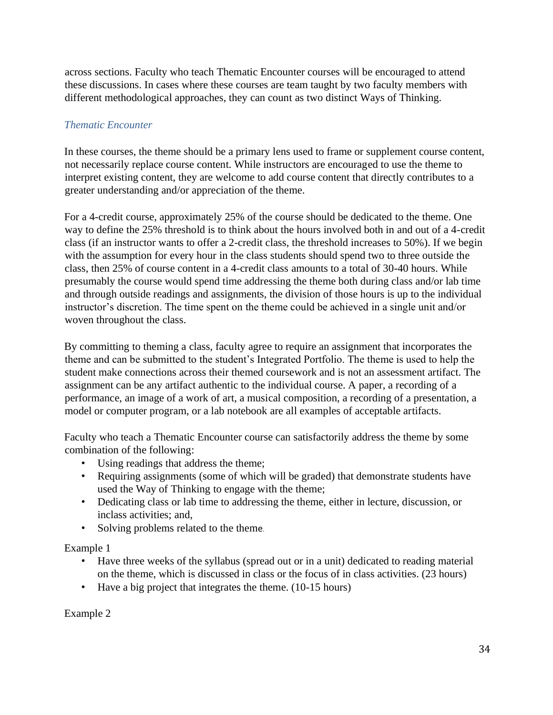across sections. Faculty who teach Thematic Encounter courses will be encouraged to attend these discussions. In cases where these courses are team taught by two faculty members with different methodological approaches, they can count as two distinct Ways of Thinking.

## *Thematic Encounter*

In these courses, the theme should be a primary lens used to frame or supplement course content, not necessarily replace course content. While instructors are encouraged to use the theme to interpret existing content, they are welcome to add course content that directly contributes to a greater understanding and/or appreciation of the theme.

For a 4-credit course, approximately 25% of the course should be dedicated to the theme. One way to define the 25% threshold is to think about the hours involved both in and out of a 4-credit class (if an instructor wants to offer a 2-credit class, the threshold increases to 50%). If we begin with the assumption for every hour in the class students should spend two to three outside the class, then 25% of course content in a 4-credit class amounts to a total of 30-40 hours. While presumably the course would spend time addressing the theme both during class and/or lab time and through outside readings and assignments, the division of those hours is up to the individual instructor's discretion. The time spent on the theme could be achieved in a single unit and/or woven throughout the class.

By committing to theming a class, faculty agree to require an assignment that incorporates the theme and can be submitted to the student's Integrated Portfolio. The theme is used to help the student make connections across their themed coursework and is not an assessment artifact. The assignment can be any artifact authentic to the individual course. A paper, a recording of a performance, an image of a work of art, a musical composition, a recording of a presentation, a model or computer program, or a lab notebook are all examples of acceptable artifacts.

Faculty who teach a Thematic Encounter course can satisfactorily address the theme by some combination of the following:

- Using readings that address the theme;
- Requiring assignments (some of which will be graded) that demonstrate students have used the Way of Thinking to engage with the theme;
- Dedicating class or lab time to addressing the theme, either in lecture, discussion, or inclass activities; and,
- Solving problems related to the theme.

Example 1

- Have three weeks of the syllabus (spread out or in a unit) dedicated to reading material on the theme, which is discussed in class or the focus of in class activities. (23 hours)
- Have a big project that integrates the theme. (10-15 hours)

Example 2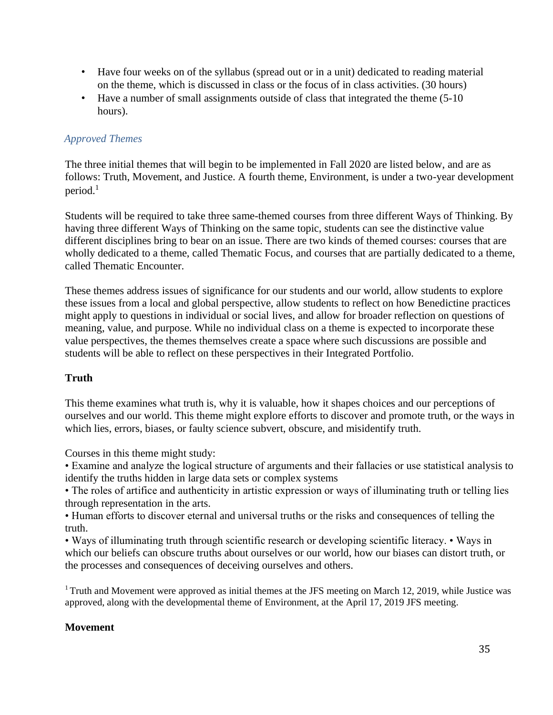- Have four weeks on of the syllabus (spread out or in a unit) dedicated to reading material on the theme, which is discussed in class or the focus of in class activities. (30 hours)
- Have a number of small assignments outside of class that integrated the theme (5-10 hours).

#### *Approved Themes*

The three initial themes that will begin to be implemented in Fall 2020 are listed below, and are as follows: Truth, Movement, and Justice. A fourth theme, Environment, is under a two-year development  $period.<sup>1</sup>$ 

Students will be required to take three same-themed courses from three different Ways of Thinking. By having three different Ways of Thinking on the same topic, students can see the distinctive value different disciplines bring to bear on an issue. There are two kinds of themed courses: courses that are wholly dedicated to a theme, called Thematic Focus, and courses that are partially dedicated to a theme, called Thematic Encounter.

These themes address issues of significance for our students and our world, allow students to explore these issues from a local and global perspective, allow students to reflect on how Benedictine practices might apply to questions in individual or social lives, and allow for broader reflection on questions of meaning, value, and purpose. While no individual class on a theme is expected to incorporate these value perspectives, the themes themselves create a space where such discussions are possible and students will be able to reflect on these perspectives in their Integrated Portfolio.

## **Truth**

This theme examines what truth is, why it is valuable, how it shapes choices and our perceptions of ourselves and our world. This theme might explore efforts to discover and promote truth, or the ways in which lies, errors, biases, or faulty science subvert, obscure, and misidentify truth.

Courses in this theme might study:

• Examine and analyze the logical structure of arguments and their fallacies or use statistical analysis to identify the truths hidden in large data sets or complex systems

• The roles of artifice and authenticity in artistic expression or ways of illuminating truth or telling lies through representation in the arts.

• Human efforts to discover eternal and universal truths or the risks and consequences of telling the truth.

• Ways of illuminating truth through scientific research or developing scientific literacy. • Ways in which our beliefs can obscure truths about ourselves or our world, how our biases can distort truth, or the processes and consequences of deceiving ourselves and others.

 $1$ Truth and Movement were approved as initial themes at the JFS meeting on March 12, 2019, while Justice was approved, along with the developmental theme of Environment, at the April 17, 2019 JFS meeting.

#### **Movement**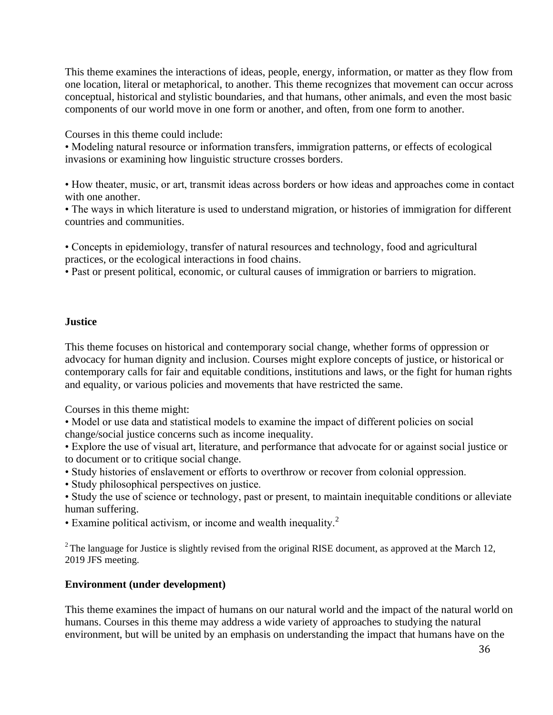This theme examines the interactions of ideas, people, energy, information, or matter as they flow from one location, literal or metaphorical, to another. This theme recognizes that movement can occur across conceptual, historical and stylistic boundaries, and that humans, other animals, and even the most basic components of our world move in one form or another, and often, from one form to another.

Courses in this theme could include:

• Modeling natural resource or information transfers, immigration patterns, or effects of ecological invasions or examining how linguistic structure crosses borders.

• How theater, music, or art, transmit ideas across borders or how ideas and approaches come in contact with one another.

• The ways in which literature is used to understand migration, or histories of immigration for different countries and communities.

• Concepts in epidemiology, transfer of natural resources and technology, food and agricultural practices, or the ecological interactions in food chains.

• Past or present political, economic, or cultural causes of immigration or barriers to migration.

#### **Justice**

This theme focuses on historical and contemporary social change, whether forms of oppression or advocacy for human dignity and inclusion. Courses might explore concepts of justice, or historical or contemporary calls for fair and equitable conditions, institutions and laws, or the fight for human rights and equality, or various policies and movements that have restricted the same.

Courses in this theme might:

• Model or use data and statistical models to examine the impact of different policies on social change/social justice concerns such as income inequality.

• Explore the use of visual art, literature, and performance that advocate for or against social justice or to document or to critique social change.

• Study histories of enslavement or efforts to overthrow or recover from colonial oppression.

• Study philosophical perspectives on justice.

• Study the use of science or technology, past or present, to maintain inequitable conditions or alleviate human suffering.

• Examine political activism, or income and wealth inequality.<sup>2</sup>

 $2$ The language for Justice is slightly revised from the original RISE document, as approved at the March 12, 2019 JFS meeting.

#### **Environment (under development)**

This theme examines the impact of humans on our natural world and the impact of the natural world on humans. Courses in this theme may address a wide variety of approaches to studying the natural environment, but will be united by an emphasis on understanding the impact that humans have on the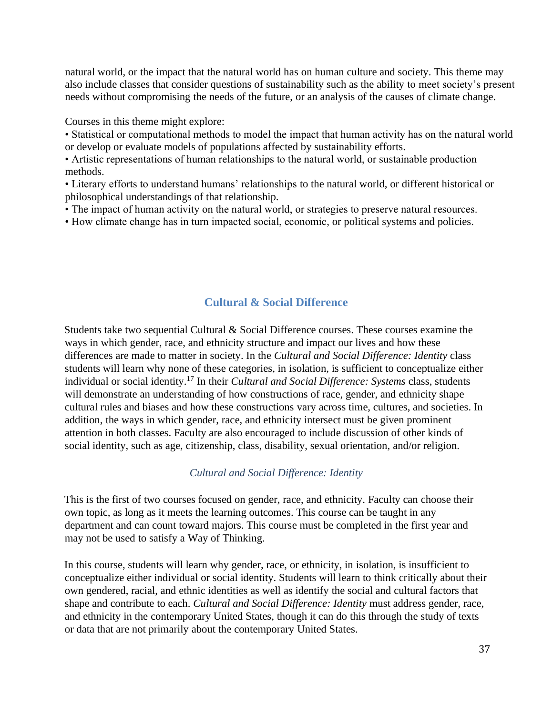natural world, or the impact that the natural world has on human culture and society. This theme may also include classes that consider questions of sustainability such as the ability to meet society's present needs without compromising the needs of the future, or an analysis of the causes of climate change.

Courses in this theme might explore:

• Statistical or computational methods to model the impact that human activity has on the natural world or develop or evaluate models of populations affected by sustainability efforts.

• Artistic representations of human relationships to the natural world, or sustainable production methods.

• Literary efforts to understand humans' relationships to the natural world, or different historical or philosophical understandings of that relationship.

• The impact of human activity on the natural world, or strategies to preserve natural resources.

• How climate change has in turn impacted social, economic, or political systems and policies.

## **Cultural & Social Difference**

<span id="page-36-0"></span>Students take two sequential Cultural & Social Difference courses. These courses examine the ways in which gender, race, and ethnicity structure and impact our lives and how these differences are made to matter in society. In the *Cultural and Social Difference: Identity* class students will learn why none of these categories, in isolation, is sufficient to conceptualize either individual or social identity.<sup>17</sup> In their *Cultural and Social Difference: Systems* class, students will demonstrate an understanding of how constructions of race, gender, and ethnicity shape cultural rules and biases and how these constructions vary across time, cultures, and societies. In addition, the ways in which gender, race, and ethnicity intersect must be given prominent attention in both classes. Faculty are also encouraged to include discussion of other kinds of social identity, such as age, citizenship, class, disability, sexual orientation, and/or religion.

## *Cultural and Social Difference: Identity*

<span id="page-36-1"></span>This is the first of two courses focused on gender, race, and ethnicity. Faculty can choose their own topic, as long as it meets the learning outcomes. This course can be taught in any department and can count toward majors. This course must be completed in the first year and may not be used to satisfy a Way of Thinking.

In this course, students will learn why gender, race, or ethnicity, in isolation, is insufficient to conceptualize either individual or social identity. Students will learn to think critically about their own gendered, racial, and ethnic identities as well as identify the social and cultural factors that shape and contribute to each. *Cultural and Social Difference: Identity* must address gender, race, and ethnicity in the contemporary United States, though it can do this through the study of texts or data that are not primarily about the contemporary United States.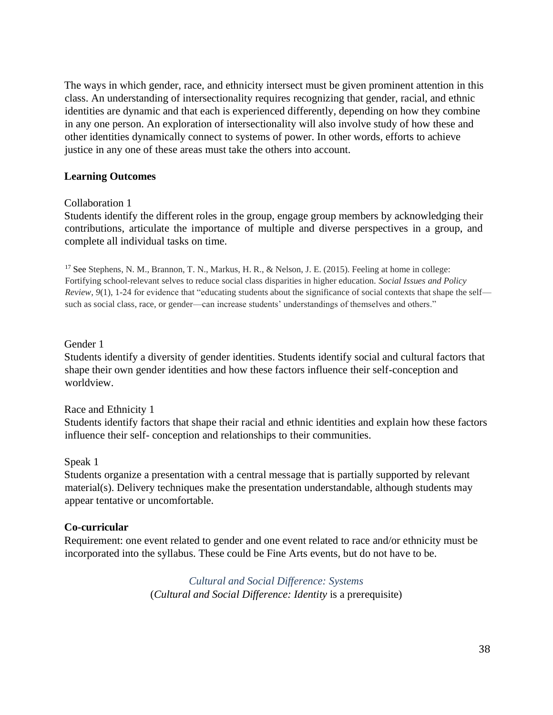The ways in which gender, race, and ethnicity intersect must be given prominent attention in this class. An understanding of intersectionality requires recognizing that gender, racial, and ethnic identities are dynamic and that each is experienced differently, depending on how they combine in any one person. An exploration of intersectionality will also involve study of how these and other identities dynamically connect to systems of power. In other words, efforts to achieve justice in any one of these areas must take the others into account.

#### **Learning Outcomes**

#### Collaboration 1

Students identify the different roles in the group, engage group members by acknowledging their contributions, articulate the importance of multiple and diverse perspectives in a group, and complete all individual tasks on time.

<sup>17</sup> See Stephens, N. M., Brannon, T. N., Markus, H. R., & Nelson, J. E. (2015). Feeling at home in college: Fortifying school‐relevant selves to reduce social class disparities in higher education. *Social Issues and Policy Review*, *9*(1), 1-24 for evidence that "educating students about the significance of social contexts that shape the self such as social class, race, or gender—can increase students' understandings of themselves and others."

#### Gender 1

Students identify a diversity of gender identities. Students identify social and cultural factors that shape their own gender identities and how these factors influence their self-conception and worldview.

#### Race and Ethnicity 1

Students identify factors that shape their racial and ethnic identities and explain how these factors influence their self- conception and relationships to their communities.

#### Speak 1

Students organize a presentation with a central message that is partially supported by relevant material(s). Delivery techniques make the presentation understandable, although students may appear tentative or uncomfortable.

#### **Co-curricular**

<span id="page-37-0"></span>Requirement: one event related to gender and one event related to race and/or ethnicity must be incorporated into the syllabus. These could be Fine Arts events, but do not have to be.

> *Cultural and Social Difference: Systems*  (*Cultural and Social Difference: Identity* is a prerequisite)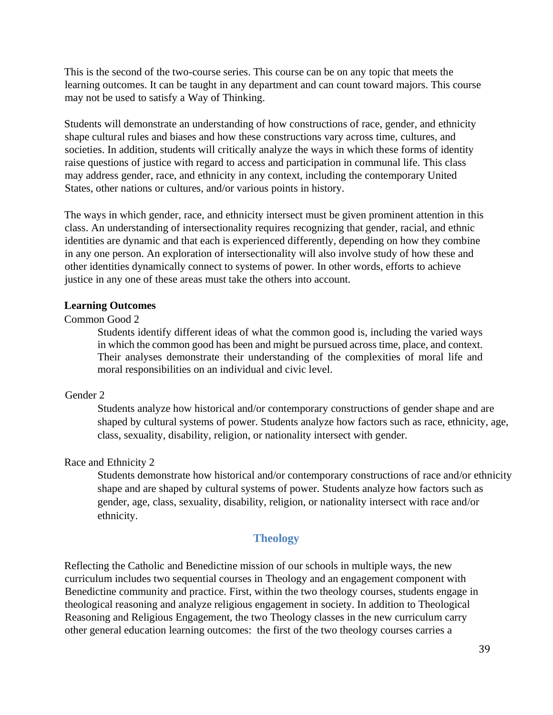This is the second of the two-course series. This course can be on any topic that meets the learning outcomes. It can be taught in any department and can count toward majors. This course may not be used to satisfy a Way of Thinking.

Students will demonstrate an understanding of how constructions of race, gender, and ethnicity shape cultural rules and biases and how these constructions vary across time, cultures, and societies. In addition, students will critically analyze the ways in which these forms of identity raise questions of justice with regard to access and participation in communal life. This class may address gender, race, and ethnicity in any context, including the contemporary United States, other nations or cultures, and/or various points in history.

The ways in which gender, race, and ethnicity intersect must be given prominent attention in this class. An understanding of intersectionality requires recognizing that gender, racial, and ethnic identities are dynamic and that each is experienced differently, depending on how they combine in any one person. An exploration of intersectionality will also involve study of how these and other identities dynamically connect to systems of power. In other words, efforts to achieve justice in any one of these areas must take the others into account.

#### **Learning Outcomes**

#### Common Good 2

Students identify different ideas of what the common good is, including the varied ways in which the common good has been and might be pursued across time, place, and context. Their analyses demonstrate their understanding of the complexities of moral life and moral responsibilities on an individual and civic level.

#### Gender 2

Students analyze how historical and/or contemporary constructions of gender shape and are shaped by cultural systems of power. Students analyze how factors such as race, ethnicity, age, class, sexuality, disability, religion, or nationality intersect with gender.

#### Race and Ethnicity 2

Students demonstrate how historical and/or contemporary constructions of race and/or ethnicity shape and are shaped by cultural systems of power. Students analyze how factors such as gender, age, class, sexuality, disability, religion, or nationality intersect with race and/or ethnicity.

#### **Theology**

<span id="page-38-0"></span>Reflecting the Catholic and Benedictine mission of our schools in multiple ways, the new curriculum includes two sequential courses in Theology and an engagement component with Benedictine community and practice. First, within the two theology courses, students engage in theological reasoning and analyze religious engagement in society. In addition to Theological Reasoning and Religious Engagement, the two Theology classes in the new curriculum carry other general education learning outcomes: the first of the two theology courses carries a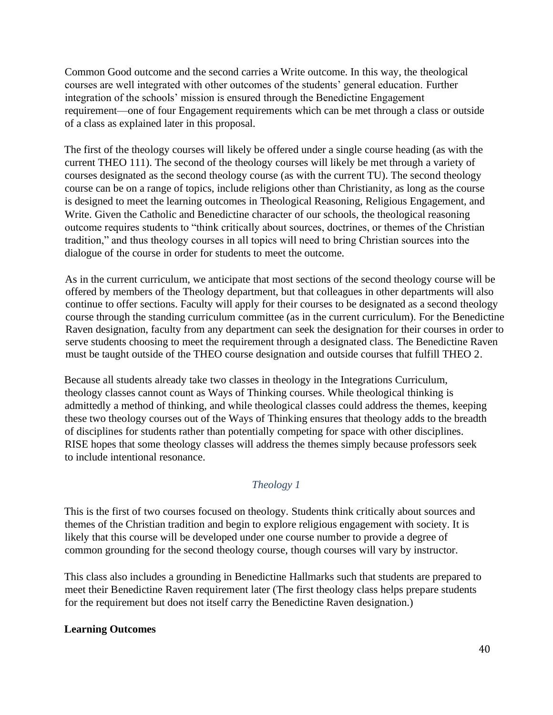Common Good outcome and the second carries a Write outcome. In this way, the theological courses are well integrated with other outcomes of the students' general education. Further integration of the schools' mission is ensured through the Benedictine Engagement requirement—one of four Engagement requirements which can be met through a class or outside of a class as explained later in this proposal.

The first of the theology courses will likely be offered under a single course heading (as with the current THEO 111). The second of the theology courses will likely be met through a variety of courses designated as the second theology course (as with the current TU). The second theology course can be on a range of topics, include religions other than Christianity, as long as the course is designed to meet the learning outcomes in Theological Reasoning, Religious Engagement, and Write. Given the Catholic and Benedictine character of our schools, the theological reasoning outcome requires students to "think critically about sources, doctrines, or themes of the Christian tradition," and thus theology courses in all topics will need to bring Christian sources into the dialogue of the course in order for students to meet the outcome.

As in the current curriculum, we anticipate that most sections of the second theology course will be offered by members of the Theology department, but that colleagues in other departments will also continue to offer sections. Faculty will apply for their courses to be designated as a second theology course through the standing curriculum committee (as in the current curriculum). For the Benedictine Raven designation, faculty from any department can seek the designation for their courses in order to serve students choosing to meet the requirement through a designated class. The Benedictine Raven must be taught outside of the THEO course designation and outside courses that fulfill THEO 2.

Because all students already take two classes in theology in the Integrations Curriculum, theology classes cannot count as Ways of Thinking courses. While theological thinking is admittedly a method of thinking, and while theological classes could address the themes, keeping these two theology courses out of the Ways of Thinking ensures that theology adds to the breadth of disciplines for students rather than potentially competing for space with other disciplines. RISE hopes that some theology classes will address the themes simply because professors seek to include intentional resonance.

## *Theology 1*

<span id="page-39-0"></span>This is the first of two courses focused on theology. Students think critically about sources and themes of the Christian tradition and begin to explore religious engagement with society. It is likely that this course will be developed under one course number to provide a degree of common grounding for the second theology course, though courses will vary by instructor.

This class also includes a grounding in Benedictine Hallmarks such that students are prepared to meet their Benedictine Raven requirement later (The first theology class helps prepare students for the requirement but does not itself carry the Benedictine Raven designation.)

#### **Learning Outcomes**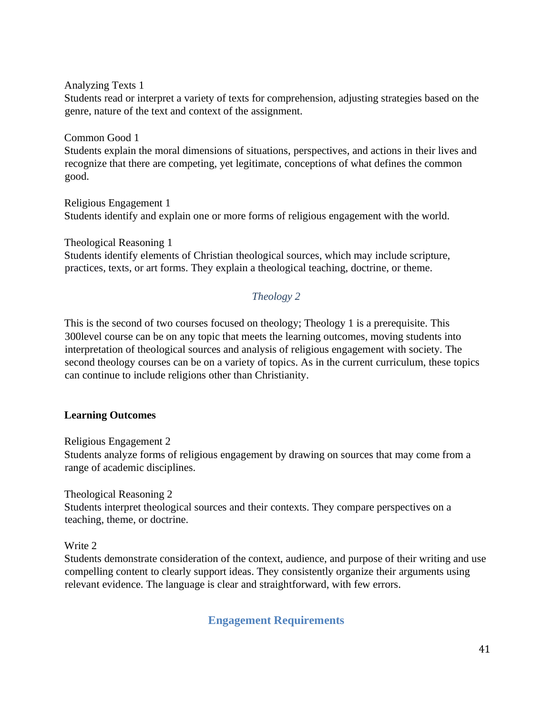Analyzing Texts 1

Students read or interpret a variety of texts for comprehension, adjusting strategies based on the genre, nature of the text and context of the assignment.

Common Good 1 Students explain the moral dimensions of situations, perspectives, and actions in their lives and recognize that there are competing, yet legitimate, conceptions of what defines the common good.

Religious Engagement 1 Students identify and explain one or more forms of religious engagement with the world.

#### Theological Reasoning 1

Students identify elements of Christian theological sources, which may include scripture, practices, texts, or art forms. They explain a theological teaching, doctrine, or theme.

## *Theology 2*

<span id="page-40-0"></span>This is the second of two courses focused on theology; Theology 1 is a prerequisite. This 300level course can be on any topic that meets the learning outcomes, moving students into interpretation of theological sources and analysis of religious engagement with society. The second theology courses can be on a variety of topics. As in the current curriculum, these topics can continue to include religions other than Christianity.

## **Learning Outcomes**

Religious Engagement 2

Students analyze forms of religious engagement by drawing on sources that may come from a range of academic disciplines.

Theological Reasoning 2

Students interpret theological sources and their contexts. They compare perspectives on a teaching, theme, or doctrine.

## Write 2

<span id="page-40-1"></span>Students demonstrate consideration of the context, audience, and purpose of their writing and use compelling content to clearly support ideas. They consistently organize their arguments using relevant evidence. The language is clear and straightforward, with few errors.

**Engagement Requirements**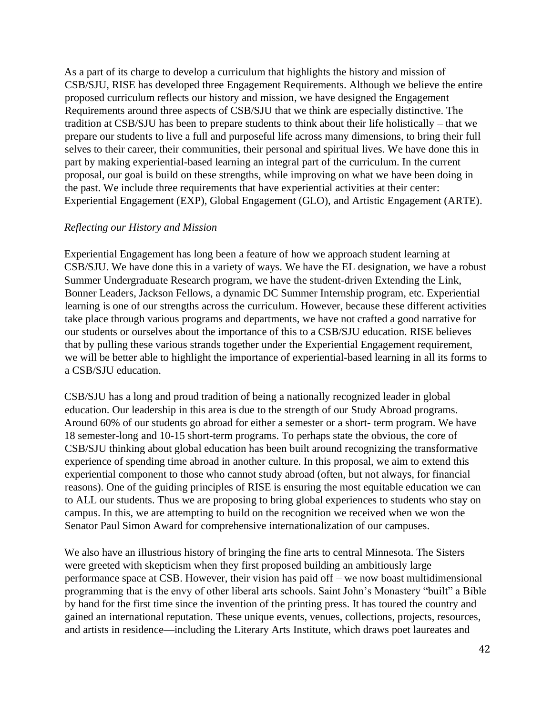As a part of its charge to develop a curriculum that highlights the history and mission of CSB/SJU, RISE has developed three Engagement Requirements. Although we believe the entire proposed curriculum reflects our history and mission, we have designed the Engagement Requirements around three aspects of CSB/SJU that we think are especially distinctive. The tradition at CSB/SJU has been to prepare students to think about their life holistically – that we prepare our students to live a full and purposeful life across many dimensions, to bring their full selves to their career, their communities, their personal and spiritual lives. We have done this in part by making experiential-based learning an integral part of the curriculum. In the current proposal, our goal is build on these strengths, while improving on what we have been doing in the past. We include three requirements that have experiential activities at their center: Experiential Engagement (EXP), Global Engagement (GLO), and Artistic Engagement (ARTE).

#### *Reflecting our History and Mission*

Experiential Engagement has long been a feature of how we approach student learning at CSB/SJU. We have done this in a variety of ways. We have the EL designation, we have a robust Summer Undergraduate Research program, we have the student-driven Extending the Link, Bonner Leaders, Jackson Fellows, a dynamic DC Summer Internship program, etc. Experiential learning is one of our strengths across the curriculum. However, because these different activities take place through various programs and departments, we have not crafted a good narrative for our students or ourselves about the importance of this to a CSB/SJU education. RISE believes that by pulling these various strands together under the Experiential Engagement requirement, we will be better able to highlight the importance of experiential-based learning in all its forms to a CSB/SJU education.

CSB/SJU has a long and proud tradition of being a nationally recognized leader in global education. Our leadership in this area is due to the strength of our Study Abroad programs. Around 60% of our students go abroad for either a semester or a short- term program. We have 18 semester-long and 10-15 short-term programs. To perhaps state the obvious, the core of CSB/SJU thinking about global education has been built around recognizing the transformative experience of spending time abroad in another culture. In this proposal, we aim to extend this experiential component to those who cannot study abroad (often, but not always, for financial reasons). One of the guiding principles of RISE is ensuring the most equitable education we can to ALL our students. Thus we are proposing to bring global experiences to students who stay on campus. In this, we are attempting to build on the recognition we received when we won the Senator Paul Simon Award for comprehensive internationalization of our campuses.

We also have an illustrious history of bringing the fine arts to central Minnesota. The Sisters were greeted with skepticism when they first proposed building an ambitiously large performance space at CSB. However, their vision has paid off – we now boast multidimensional programming that is the envy of other liberal arts schools. Saint John's Monastery "built" a Bible by hand for the first time since the invention of the printing press. It has toured the country and gained an international reputation. These unique events, venues, collections, projects, resources, and artists in residence—including the Literary Arts Institute, which draws poet laureates and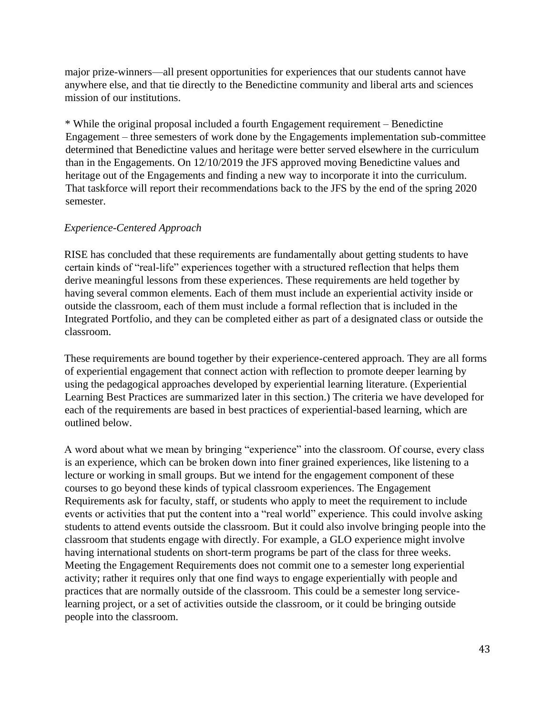major prize-winners—all present opportunities for experiences that our students cannot have anywhere else, and that tie directly to the Benedictine community and liberal arts and sciences mission of our institutions.

\* While the original proposal included a fourth Engagement requirement – Benedictine Engagement – three semesters of work done by the Engagements implementation sub-committee determined that Benedictine values and heritage were better served elsewhere in the curriculum than in the Engagements. On 12/10/2019 the JFS approved moving Benedictine values and heritage out of the Engagements and finding a new way to incorporate it into the curriculum. That taskforce will report their recommendations back to the JFS by the end of the spring 2020 semester.

#### *Experience-Centered Approach*

RISE has concluded that these requirements are fundamentally about getting students to have certain kinds of "real-life" experiences together with a structured reflection that helps them derive meaningful lessons from these experiences. These requirements are held together by having several common elements. Each of them must include an experiential activity inside or outside the classroom, each of them must include a formal reflection that is included in the Integrated Portfolio, and they can be completed either as part of a designated class or outside the classroom.

These requirements are bound together by their experience-centered approach. They are all forms of experiential engagement that connect action with reflection to promote deeper learning by using the pedagogical approaches developed by experiential learning literature. (Experiential Learning Best Practices are summarized later in this section.) The criteria we have developed for each of the requirements are based in best practices of experiential-based learning, which are outlined below.

A word about what we mean by bringing "experience" into the classroom. Of course, every class is an experience, which can be broken down into finer grained experiences, like listening to a lecture or working in small groups. But we intend for the engagement component of these courses to go beyond these kinds of typical classroom experiences. The Engagement Requirements ask for faculty, staff, or students who apply to meet the requirement to include events or activities that put the content into a "real world" experience. This could involve asking students to attend events outside the classroom. But it could also involve bringing people into the classroom that students engage with directly. For example, a GLO experience might involve having international students on short-term programs be part of the class for three weeks. Meeting the Engagement Requirements does not commit one to a semester long experiential activity; rather it requires only that one find ways to engage experientially with people and practices that are normally outside of the classroom. This could be a semester long servicelearning project, or a set of activities outside the classroom, or it could be bringing outside people into the classroom.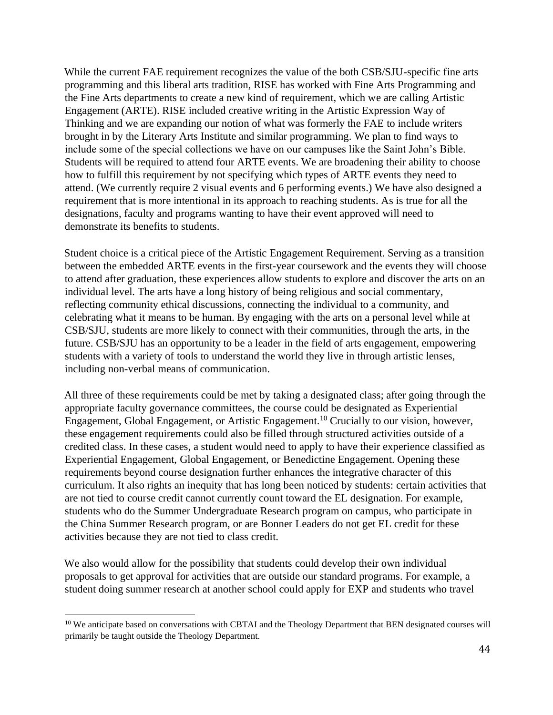While the current FAE requirement recognizes the value of the both CSB/SJU-specific fine arts programming and this liberal arts tradition, RISE has worked with Fine Arts Programming and the Fine Arts departments to create a new kind of requirement, which we are calling Artistic Engagement (ARTE). RISE included creative writing in the Artistic Expression Way of Thinking and we are expanding our notion of what was formerly the FAE to include writers brought in by the Literary Arts Institute and similar programming. We plan to find ways to include some of the special collections we have on our campuses like the Saint John's Bible. Students will be required to attend four ARTE events. We are broadening their ability to choose how to fulfill this requirement by not specifying which types of ARTE events they need to attend. (We currently require 2 visual events and 6 performing events.) We have also designed a requirement that is more intentional in its approach to reaching students. As is true for all the designations, faculty and programs wanting to have their event approved will need to demonstrate its benefits to students.

Student choice is a critical piece of the Artistic Engagement Requirement. Serving as a transition between the embedded ARTE events in the first-year coursework and the events they will choose to attend after graduation, these experiences allow students to explore and discover the arts on an individual level. The arts have a long history of being religious and social commentary, reflecting community ethical discussions, connecting the individual to a community, and celebrating what it means to be human. By engaging with the arts on a personal level while at CSB/SJU, students are more likely to connect with their communities, through the arts, in the future. CSB/SJU has an opportunity to be a leader in the field of arts engagement, empowering students with a variety of tools to understand the world they live in through artistic lenses, including non-verbal means of communication.

All three of these requirements could be met by taking a designated class; after going through the appropriate faculty governance committees, the course could be designated as Experiential Engagement, Global Engagement, or Artistic Engagement.<sup>10</sup> Crucially to our vision, however, these engagement requirements could also be filled through structured activities outside of a credited class. In these cases, a student would need to apply to have their experience classified as Experiential Engagement, Global Engagement, or Benedictine Engagement. Opening these requirements beyond course designation further enhances the integrative character of this curriculum. It also rights an inequity that has long been noticed by students: certain activities that are not tied to course credit cannot currently count toward the EL designation. For example, students who do the Summer Undergraduate Research program on campus, who participate in the China Summer Research program, or are Bonner Leaders do not get EL credit for these activities because they are not tied to class credit.

We also would allow for the possibility that students could develop their own individual proposals to get approval for activities that are outside our standard programs. For example, a student doing summer research at another school could apply for EXP and students who travel

<sup>&</sup>lt;sup>10</sup> We anticipate based on conversations with CBTAI and the Theology Department that BEN designated courses will primarily be taught outside the Theology Department.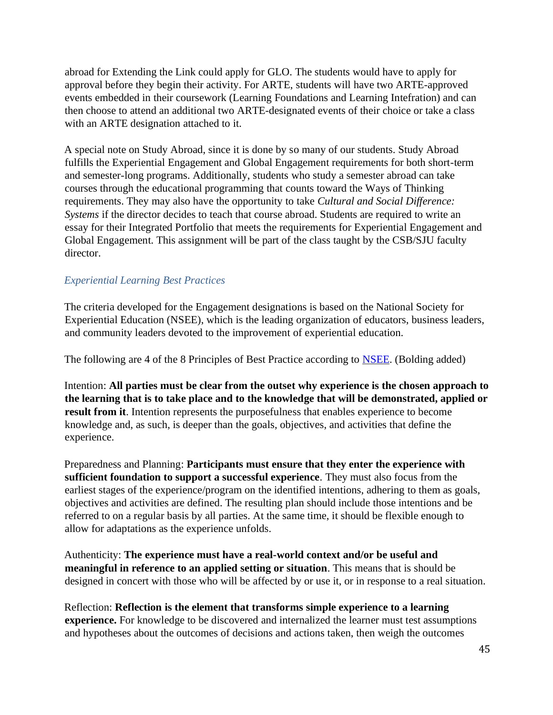abroad for Extending the Link could apply for GLO. The students would have to apply for approval before they begin their activity. For ARTE, students will have two ARTE-approved events embedded in their coursework (Learning Foundations and Learning Intefration) and can then choose to attend an additional two ARTE-designated events of their choice or take a class with an ARTE designation attached to it.

A special note on Study Abroad, since it is done by so many of our students. Study Abroad fulfills the Experiential Engagement and Global Engagement requirements for both short-term and semester-long programs. Additionally, students who study a semester abroad can take courses through the educational programming that counts toward the Ways of Thinking requirements. They may also have the opportunity to take *Cultural and Social Difference: Systems* if the director decides to teach that course abroad. Students are required to write an essay for their Integrated Portfolio that meets the requirements for Experiential Engagement and Global Engagement. This assignment will be part of the class taught by the CSB/SJU faculty director.

## *Experiential Learning Best Practices*

The criteria developed for the Engagement designations is based on the National Society for Experiential Education (NSEE), which is the leading organization of educators, business leaders, and community leaders devoted to the improvement of experiential education.

The following are 4 of the 8 Principles of Best Practice according to NSEE. (Bolding added)

Intention: **All parties must be clear from the outset why experience is the chosen approach to the learning that is to take place and to the knowledge that will be demonstrated, applied or result from it**. Intention represents the purposefulness that enables experience to become knowledge and, as such, is deeper than the goals, objectives, and activities that define the experience.

Preparedness and Planning: **Participants must ensure that they enter the experience with sufficient foundation to support a successful experience**. They must also focus from the earliest stages of the experience/program on the identified intentions, adhering to them as goals, objectives and activities are defined. The resulting plan should include those intentions and be referred to on a regular basis by all parties. At the same time, it should be flexible enough to allow for adaptations as the experience unfolds.

Authenticity: **The experience must have a real-world context and/or be useful and meaningful in reference to an applied setting or situation**. This means that is should be designed in concert with those who will be affected by or use it, or in response to a real situation.

Reflection: **Reflection is the element that transforms simple experience to a learning experience.** For knowledge to be discovered and internalized the learner must test assumptions and hypotheses about the outcomes of decisions and actions taken, then weigh the outcomes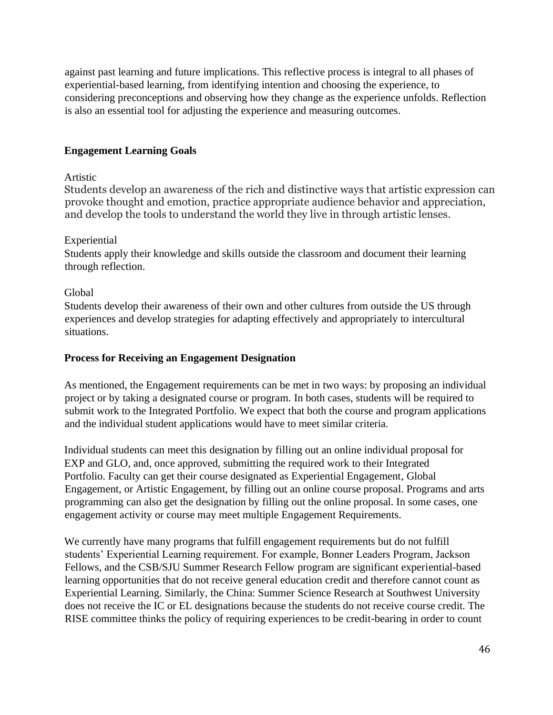against past learning and future implications. This reflective process is integral to all phases of experiential-based learning, from identifying intention and choosing the experience, to considering preconceptions and observing how they change as the experience unfolds. Reflection is also an essential tool for adjusting the experience and measuring outcomes.

#### **Engagement Learning Goals**

#### Artistic

Students develop an awareness of the rich and distinctive ways that artistic expression can provoke thought and emotion, practice appropriate audience behavior and appreciation, and develop the tools to understand the world they live in through artistic lenses.

#### Experiential

Students apply their knowledge and skills outside the classroom and document their learning through reflection.

#### Global

Students develop their awareness of their own and other cultures from outside the US through experiences and develop strategies for adapting effectively and appropriately to intercultural situations.

#### **Process for Receiving an Engagement Designation**

As mentioned, the Engagement requirements can be met in two ways: by proposing an individual project or by taking a designated course or program. In both cases, students will be required to submit work to the Integrated Portfolio. We expect that both the course and program applications and the individual student applications would have to meet similar criteria.

Individual students can meet this designation by filling out an online individual proposal for EXP and GLO, and, once approved, submitting the required work to their Integrated Portfolio. Faculty can get their course designated as Experiential Engagement, Global Engagement, or Artistic Engagement, by filling out an online course proposal. Programs and arts programming can also get the designation by filling out the online proposal. In some cases, one engagement activity or course may meet multiple Engagement Requirements.

We currently have many programs that fulfill engagement requirements but do not fulfill students' Experiential Learning requirement. For example, Bonner Leaders Program, Jackson Fellows, and the CSB/SJU Summer Research Fellow program are significant experiential-based learning opportunities that do not receive general education credit and therefore cannot count as Experiential Learning. Similarly, the China: Summer Science Research at Southwest University does not receive the IC or EL designations because the students do not receive course credit. The RISE committee thinks the policy of requiring experiences to be credit-bearing in order to count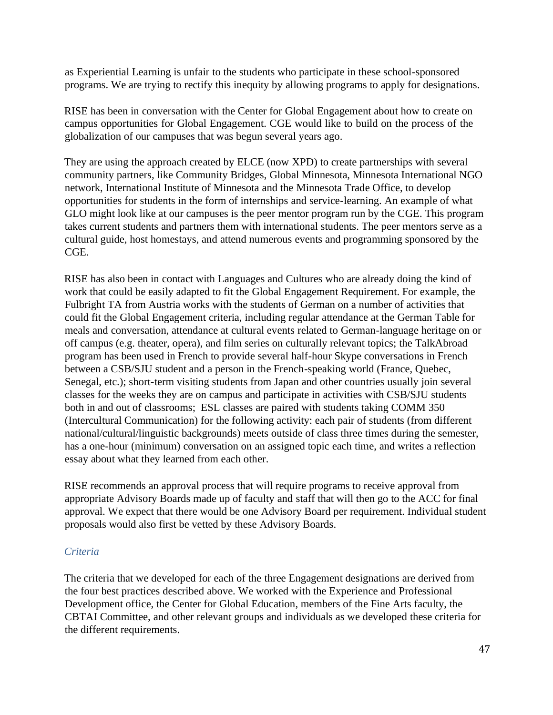as Experiential Learning is unfair to the students who participate in these school-sponsored programs. We are trying to rectify this inequity by allowing programs to apply for designations.

RISE has been in conversation with the Center for Global Engagement about how to create on campus opportunities for Global Engagement. CGE would like to build on the process of the globalization of our campuses that was begun several years ago.

They are using the approach created by ELCE (now XPD) to create partnerships with several community partners, like Community Bridges, Global Minnesota, Minnesota International NGO network, International Institute of Minnesota and the Minnesota Trade Office, to develop opportunities for students in the form of internships and service-learning. An example of what GLO might look like at our campuses is the peer mentor program run by the CGE. This program takes current students and partners them with international students. The peer mentors serve as a cultural guide, host homestays, and attend numerous events and programming sponsored by the CGE.

RISE has also been in contact with Languages and Cultures who are already doing the kind of work that could be easily adapted to fit the Global Engagement Requirement. For example, the Fulbright TA from Austria works with the students of German on a number of activities that could fit the Global Engagement criteria, including regular attendance at the German Table for meals and conversation, attendance at cultural events related to German-language heritage on or off campus (e.g. theater, opera), and film series on culturally relevant topics; the TalkAbroad program has been used in French to provide several half-hour Skype conversations in French between a CSB/SJU student and a person in the French-speaking world (France, Quebec, Senegal, etc.); short-term visiting students from Japan and other countries usually join several classes for the weeks they are on campus and participate in activities with CSB/SJU students both in and out of classrooms; ESL classes are paired with students taking COMM 350 (Intercultural Communication) for the following activity: each pair of students (from different national/cultural/linguistic backgrounds) meets outside of class three times during the semester, has a one-hour (minimum) conversation on an assigned topic each time, and writes a reflection essay about what they learned from each other.

RISE recommends an approval process that will require programs to receive approval from appropriate Advisory Boards made up of faculty and staff that will then go to the ACC for final approval. We expect that there would be one Advisory Board per requirement. Individual student proposals would also first be vetted by these Advisory Boards.

## *Criteria*

The criteria that we developed for each of the three Engagement designations are derived from the four best practices described above. We worked with the Experience and Professional Development office, the Center for Global Education, members of the Fine Arts faculty, the CBTAI Committee, and other relevant groups and individuals as we developed these criteria for the different requirements.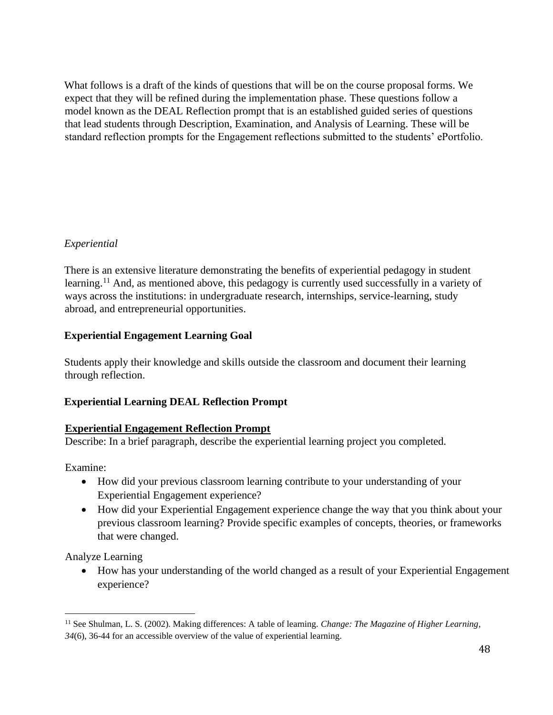What follows is a draft of the kinds of questions that will be on the course proposal forms. We expect that they will be refined during the implementation phase. These questions follow a model known as the DEAL Reflection prompt that is an established guided series of questions that lead students through Description, Examination, and Analysis of Learning. These will be standard reflection prompts for the Engagement reflections submitted to the students' ePortfolio.

## *Experiential*

There is an extensive literature demonstrating the benefits of experiential pedagogy in student learning.<sup>11</sup> And, as mentioned above, this pedagogy is currently used successfully in a variety of ways across the institutions: in undergraduate research, internships, service-learning, study abroad, and entrepreneurial opportunities.

## **Experiential Engagement Learning Goal**

Students apply their knowledge and skills outside the classroom and document their learning through reflection.

## **Experiential Learning DEAL Reflection Prompt**

## **Experiential Engagement Reflection Prompt**

Describe: In a brief paragraph, describe the experiential learning project you completed.

Examine:

- How did your previous classroom learning contribute to your understanding of your Experiential Engagement experience?
- How did your Experiential Engagement experience change the way that you think about your previous classroom learning? Provide specific examples of concepts, theories, or frameworks that were changed.

Analyze Learning

• How has your understanding of the world changed as a result of your Experiential Engagement experience?

<sup>11</sup> See Shulman, L. S. (2002). Making differences: A table of learning. *Change: The Magazine of Higher Learning*, *34*(6), 36-44 for an accessible overview of the value of experiential learning.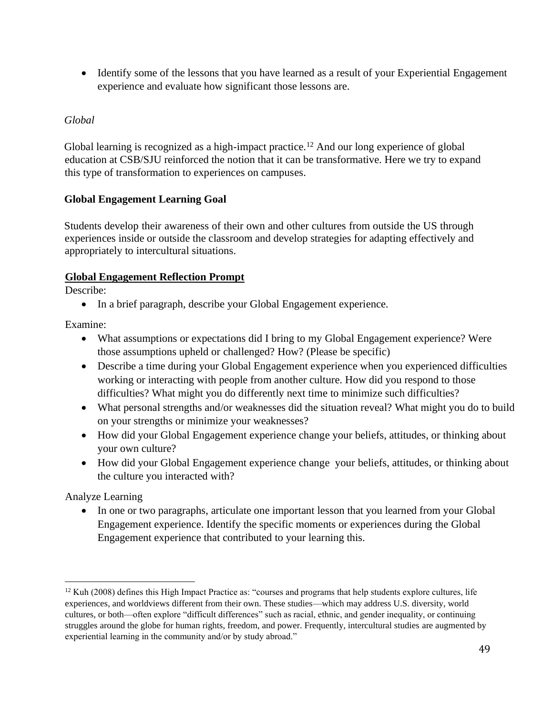• Identify some of the lessons that you have learned as a result of your Experiential Engagement experience and evaluate how significant those lessons are.

## *Global*

Global learning is recognized as a high-impact practice.<sup>12</sup> And our long experience of global education at CSB/SJU reinforced the notion that it can be transformative. Here we try to expand this type of transformation to experiences on campuses.

## **Global Engagement Learning Goal**

Students develop their awareness of their own and other cultures from outside the US through experiences inside or outside the classroom and develop strategies for adapting effectively and appropriately to intercultural situations.

## **Global Engagement Reflection Prompt**

Describe:

• In a brief paragraph, describe your Global Engagement experience.

Examine:

- What assumptions or expectations did I bring to my Global Engagement experience? Were those assumptions upheld or challenged? How? (Please be specific)
- Describe a time during your Global Engagement experience when you experienced difficulties working or interacting with people from another culture. How did you respond to those difficulties? What might you do differently next time to minimize such difficulties?
- What personal strengths and/or weaknesses did the situation reveal? What might you do to build on your strengths or minimize your weaknesses?
- How did your Global Engagement experience change your beliefs, attitudes, or thinking about your own culture?
- How did your Global Engagement experience change your beliefs, attitudes, or thinking about the culture you interacted with?

Analyze Learning

• In one or two paragraphs, articulate one important lesson that you learned from your Global Engagement experience. Identify the specific moments or experiences during the Global Engagement experience that contributed to your learning this.

 $12$  Kuh (2008) defines this High Impact Practice as: "courses and programs that help students explore cultures, life experiences, and worldviews different from their own. These studies—which may address U.S. diversity, world cultures, or both—often explore "difficult differences" such as racial, ethnic, and gender inequality, or continuing struggles around the globe for human rights, freedom, and power. Frequently, intercultural studies are augmented by experiential learning in the community and/or by study abroad."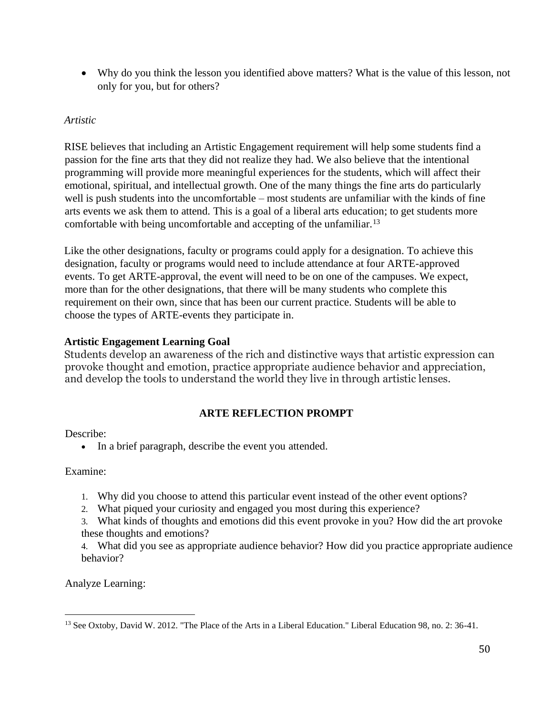• Why do you think the lesson you identified above matters? What is the value of this lesson, not only for you, but for others?

## *Artistic*

RISE believes that including an Artistic Engagement requirement will help some students find a passion for the fine arts that they did not realize they had. We also believe that the intentional programming will provide more meaningful experiences for the students, which will affect their emotional, spiritual, and intellectual growth. One of the many things the fine arts do particularly well is push students into the uncomfortable – most students are unfamiliar with the kinds of fine arts events we ask them to attend. This is a goal of a liberal arts education; to get students more comfortable with being uncomfortable and accepting of the unfamiliar.<sup>13</sup>

Like the other designations, faculty or programs could apply for a designation. To achieve this designation, faculty or programs would need to include attendance at four ARTE-approved events. To get ARTE-approval, the event will need to be on one of the campuses. We expect, more than for the other designations, that there will be many students who complete this requirement on their own, since that has been our current practice. Students will be able to choose the types of ARTE-events they participate in.

## **Artistic Engagement Learning Goal**

Students develop an awareness of the rich and distinctive ways that artistic expression can provoke thought and emotion, practice appropriate audience behavior and appreciation, and develop the tools to understand the world they live in through artistic lenses.

## **ARTE REFLECTION PROMPT**

Describe:

• In a brief paragraph, describe the event you attended.

## Examine:

- 1. Why did you choose to attend this particular event instead of the other event options?
- 2. What piqued your curiosity and engaged you most during this experience?

3. What kinds of thoughts and emotions did this event provoke in you? How did the art provoke these thoughts and emotions?

4. What did you see as appropriate audience behavior? How did you practice appropriate audience behavior?

Analyze Learning:

<sup>&</sup>lt;sup>13</sup> See Oxtoby, David W. 2012. "The Place of the Arts in a Liberal Education." Liberal Education 98, no. 2: 36-41.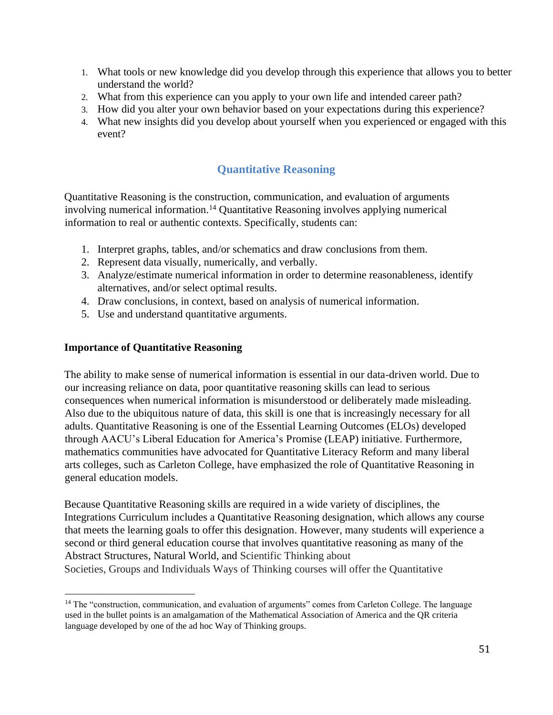- 1. What tools or new knowledge did you develop through this experience that allows you to better understand the world?
- 2. What from this experience can you apply to your own life and intended career path?
- 3. How did you alter your own behavior based on your expectations during this experience?
- 4. What new insights did you develop about yourself when you experienced or engaged with this event?

## **Quantitative Reasoning**

<span id="page-50-0"></span>Quantitative Reasoning is the construction, communication, and evaluation of arguments involving numerical information.<sup>14</sup> Quantitative Reasoning involves applying numerical information to real or authentic contexts. Specifically, students can:

- 1. Interpret graphs, tables, and/or schematics and draw conclusions from them.
- 2. Represent data visually, numerically, and verbally.
- 3. Analyze/estimate numerical information in order to determine reasonableness, identify alternatives, and/or select optimal results.
- 4. Draw conclusions, in context, based on analysis of numerical information.
- 5. Use and understand quantitative arguments.

## **Importance of Quantitative Reasoning**

The ability to make sense of numerical information is essential in our data-driven world. Due to our increasing reliance on data, poor quantitative reasoning skills can lead to serious consequences when numerical information is misunderstood or deliberately made misleading. Also due to the ubiquitous nature of data, this skill is one that is increasingly necessary for all adults. Quantitative Reasoning is one of the Essential Learning Outcomes (ELOs) developed through AACU's Liberal Education for America's Promise (LEAP) initiative. Furthermore, mathematics communities have advocated for Quantitative Literacy Reform and many liberal arts colleges, such as Carleton College, have emphasized the role of Quantitative Reasoning in general education models.

Because Quantitative Reasoning skills are required in a wide variety of disciplines, the Integrations Curriculum includes a Quantitative Reasoning designation, which allows any course that meets the learning goals to offer this designation. However, many students will experience a second or third general education course that involves quantitative reasoning as many of the Abstract Structures, Natural World, and Scientific Thinking about Societies, Groups and Individuals Ways of Thinking courses will offer the Quantitative

<sup>&</sup>lt;sup>14</sup> The "construction, communication, and evaluation of arguments" comes from Carleton College. The language used in the bullet points is an amalgamation of the Mathematical Association of America and the QR criteria language developed by one of the ad hoc Way of Thinking groups.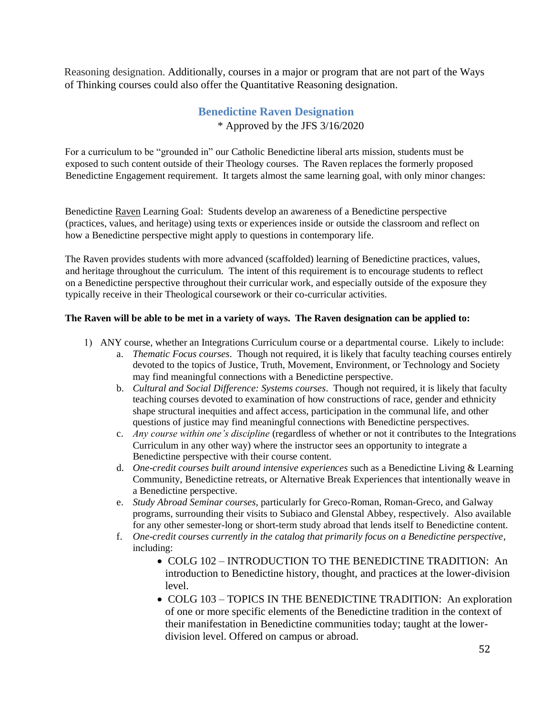<span id="page-51-0"></span>Reasoning designation. Additionally, courses in a major or program that are not part of the Ways of Thinking courses could also offer the Quantitative Reasoning designation.

## **Benedictine Raven Designation**

\* Approved by the JFS 3/16/2020

For a curriculum to be "grounded in" our Catholic Benedictine liberal arts mission, students must be exposed to such content outside of their Theology courses. The Raven replaces the formerly proposed Benedictine Engagement requirement. It targets almost the same learning goal, with only minor changes:

Benedictine Raven Learning Goal: Students develop an awareness of a Benedictine perspective (practices, values, and heritage) using texts or experiences inside or outside the classroom and reflect on how a Benedictine perspective might apply to questions in contemporary life.

The Raven provides students with more advanced (scaffolded) learning of Benedictine practices, values, and heritage throughout the curriculum. The intent of this requirement is to encourage students to reflect on a Benedictine perspective throughout their curricular work, and especially outside of the exposure they typically receive in their Theological coursework or their co-curricular activities.

#### **The Raven will be able to be met in a variety of ways. The Raven designation can be applied to:**

- 1) ANY course, whether an Integrations Curriculum course or a departmental course. Likely to include:
	- a. *Thematic Focus courses*. Though not required, it is likely that faculty teaching courses entirely devoted to the topics of Justice, Truth, Movement, Environment, or Technology and Society may find meaningful connections with a Benedictine perspective.
	- b. *Cultural and Social Difference: Systems courses*. Though not required, it is likely that faculty teaching courses devoted to examination of how constructions of race, gender and ethnicity shape structural inequities and affect access, participation in the communal life, and other questions of justice may find meaningful connections with Benedictine perspectives.
	- c. *Any course within one's discipline* (regardless of whether or not it contributes to the Integrations Curriculum in any other way) where the instructor sees an opportunity to integrate a Benedictine perspective with their course content.
	- d. *One-credit courses built around intensive experiences* such as a Benedictine Living & Learning Community, Benedictine retreats, or Alternative Break Experiences that intentionally weave in a Benedictine perspective.
	- e. *Study Abroad Seminar courses,* particularly for Greco-Roman, Roman-Greco, and Galway programs, surrounding their visits to Subiaco and Glenstal Abbey, respectively. Also available for any other semester-long or short-term study abroad that lends itself to Benedictine content.
	- f. *One-credit courses currently in the catalog that primarily focus on a Benedictine perspective*, including:
		- COLG 102 INTRODUCTION TO THE BENEDICTINE TRADITION: An introduction to Benedictine history, thought, and practices at the lower-division level.
		- COLG 103 TOPICS IN THE BENEDICTINE TRADITION: An exploration of one or more specific elements of the Benedictine tradition in the context of their manifestation in Benedictine communities today; taught at the lowerdivision level. Offered on campus or abroad.